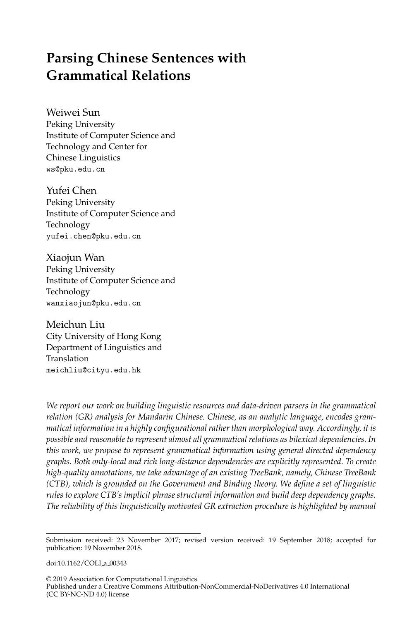# <span id="page-0-0"></span>**Parsing Chinese Sentences with Grammatical Relations**

Weiwei Sun Peking University Institute of Computer Science and Technology and Center for Chinese Linguistics ws@pku.edu.cn

Yufei Chen Peking University Institute of Computer Science and Technology yufei.chen@pku.edu.cn

Xiaojun Wan Peking University Institute of Computer Science and Technology wanxiaojun@pku.edu.cn

Meichun Liu City University of Hong Kong Department of Linguistics and Translation meichliu@cityu.edu.hk

*We report our work on building linguistic resources and data-driven parsers in the grammatical relation (GR) analysis for Mandarin Chinese. Chinese, as an analytic language, encodes grammatical information in a highly configurational rather than morphological way. Accordingly, it is possible and reasonable to represent almost all grammatical relations as bilexical dependencies. In this work, we propose to represent grammatical information using general directed dependency graphs. Both only-local and rich long-distance dependencies are explicitly represented. To create high-quality annotations, we take advantage of an existing TreeBank, namely, Chinese TreeBank (CTB), which is grounded on the Government and Binding theory. We define a set of linguistic rules to explore CTB's implicit phrase structural information and build deep dependency graphs. The reliability of this linguistically motivated GR extraction procedure is highlighted by manual*

doi:10.1162/COLI\_a\_00343

Submission received: 23 November 2017; revised version received: 19 September 2018; accepted for publication: 19 November 2018.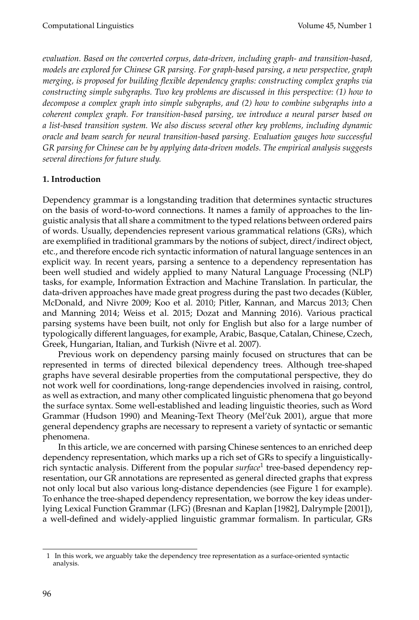*evaluation. Based on the converted corpus, data-driven, including graph- and transition-based, models are explored for Chinese GR parsing. For graph-based parsing, a new perspective, graph merging, is proposed for building flexible dependency graphs: constructing complex graphs via constructing simple subgraphs. Two key problems are discussed in this perspective: (1) how to decompose a complex graph into simple subgraphs, and (2) how to combine subgraphs into a coherent complex graph. For transition-based parsing, we introduce a neural parser based on a list-based transition system. We also discuss several other key problems, including dynamic oracle and beam search for neural transition-based parsing. Evaluation gauges how successful GR parsing for Chinese can be by applying data-driven models. The empirical analysis suggests several directions for future study.*

## **1. Introduction**

Dependency grammar is a longstanding tradition that determines syntactic structures on the basis of word-to-word connections. It names a family of approaches to the linguistic analysis that all share a commitment to the typed relations between ordered pairs of words. Usually, dependencies represent various grammatical relations (GRs), which are exemplified in traditional grammars by the notions of subject, direct/indirect object, etc., and therefore encode rich syntactic information of natural language sentences in an explicit way. In recent years, parsing a sentence to a dependency representation has been well studied and widely applied to many Natural Language Processing (NLP) tasks, for example, Information Extraction and Machine Translation. In particular, the data-driven approaches have made great progress during the past two decades (Kübler, [McDonald, and Nivre 2009; Koo et al. 2010; Pitler, Kannan, and Marcus 2013; Chen](#page-0-0) [and Manning 2014; Weiss et al. 2015; Dozat and Manning 2016\)](#page-0-0). Various practical parsing systems have been built, not only for English but also for a large number of typologically different languages, for example, Arabic, Basque, Catalan, Chinese, Czech, Greek, Hungarian, Italian, and Turkish [\(Nivre et al. 2007\)](#page-0-0).

Previous work on dependency parsing mainly focused on structures that can be represented in terms of directed bilexical dependency trees. Although tree-shaped graphs have several desirable properties from the computational perspective, they do not work well for coordinations, long-range dependencies involved in raising, control, as well as extraction, and many other complicated linguistic phenomena that go beyond the surface syntax. Some well-established and leading linguistic theories, such as Word Grammar [\(Hudson 1990\)](#page-0-0) and Meaning-Text Theory (Mel'čuk 2001), argue that more general dependency graphs are necessary to represent a variety of syntactic or semantic phenomena.

In this article, we are concerned with parsing Chinese sentences to an enriched deep dependency representation, which marks up a rich set of GRs to specify a linguisticallyrich syntactic analysis. Different from the popular *surface*[1](#page-1-0) tree-based dependency representation, our GR annotations are represented as general directed graphs that express not only local but also various long-distance dependencies (see Figure [1](#page-2-0) for example). To enhance the tree-shaped dependency representation, we borrow the key ideas underlying Lexical Function Grammar (LFG) [\(Bresnan and Kaplan \[1982\]](#page-0-0), [Dalrymple \[2001\]](#page-0-0)), a well-defined and widely-applied linguistic grammar formalism. In particular, GRs

<span id="page-1-0"></span><sup>1</sup> In this work, we arguably take the dependency tree representation as a surface-oriented syntactic analysis.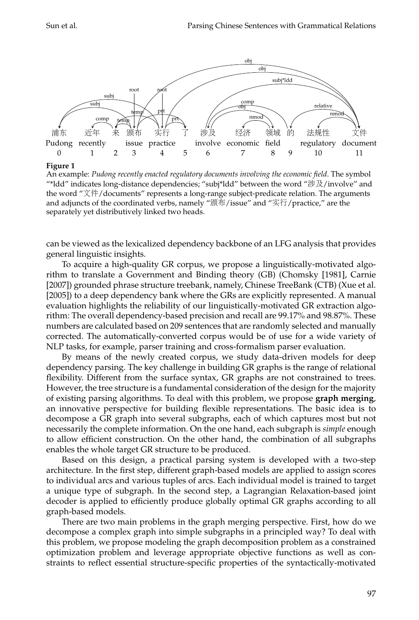

**Figure 1**

<span id="page-2-0"></span>An example: *Pudong recently enacted regulatory documents involving the economic field*. The symbol "\*ldd" indicates long-distance dependencies; "subj\*ldd" between the word "涉及/involve" and the word "文件/documents" represents a long-range subject-predicate relation. The arguments and adjuncts of the coordinated verbs, namely "颁布/issue" and "实行/practice," are the separately yet distributively linked two heads.

can be viewed as the lexicalized dependency backbone of an LFG analysis that provides general linguistic insights.

To acquire a high-quality GR corpus, we propose a linguistically-motivated algorithm to translate a Government and Binding theory (GB) [\(Chomsky \[1981\]](#page-0-0), [Carnie](#page-0-0) [\[2007\]](#page-0-0)) grounded phrase structure treebank, namely, Chinese TreeBank (CTB) [\(Xue et al.](#page-0-0) [\[2005\]](#page-0-0)) to a deep dependency bank where the GRs are explicitly represented. A manual evaluation highlights the reliability of our linguistically-motivated GR extraction algorithm: The overall dependency-based precision and recall are 99.17% and 98.87%. These numbers are calculated based on 209 sentences that are randomly selected and manually corrected. The automatically-converted corpus would be of use for a wide variety of NLP tasks, for example, parser training and cross-formalism parser evaluation.

By means of the newly created corpus, we study data-driven models for deep dependency parsing. The key challenge in building GR graphs is the range of relational flexibility. Different from the surface syntax, GR graphs are not constrained to trees. However, the tree structure is a fundamental consideration of the design for the majority of existing parsing algorithms. To deal with this problem, we propose **graph merging**, an innovative perspective for building flexible representations. The basic idea is to decompose a GR graph into several subgraphs, each of which captures most but not necessarily the complete information. On the one hand, each subgraph is *simple* enough to allow efficient construction. On the other hand, the combination of all subgraphs enables the whole target GR structure to be produced.

Based on this design, a practical parsing system is developed with a two-step architecture. In the first step, different graph-based models are applied to assign scores to individual arcs and various tuples of arcs. Each individual model is trained to target a unique type of subgraph. In the second step, a Lagrangian Relaxation-based joint decoder is applied to efficiently produce globally optimal GR graphs according to all graph-based models.

There are two main problems in the graph merging perspective. First, how do we decompose a complex graph into simple subgraphs in a principled way? To deal with this problem, we propose modeling the graph decomposition problem as a constrained optimization problem and leverage appropriate objective functions as well as constraints to reflect essential structure-specific properties of the syntactically-motivated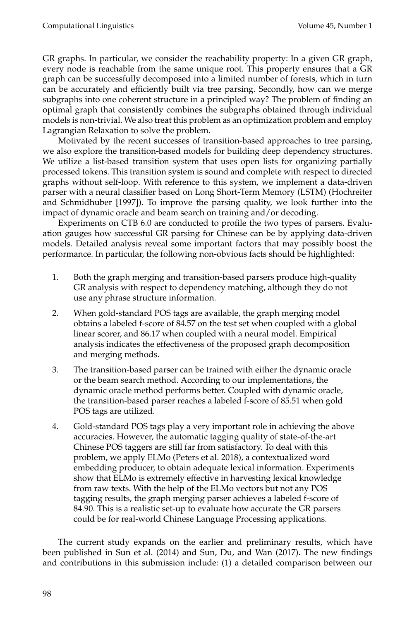GR graphs. In particular, we consider the reachability property: In a given GR graph, every node is reachable from the same unique root. This property ensures that a GR graph can be successfully decomposed into a limited number of forests, which in turn can be accurately and efficiently built via tree parsing. Secondly, how can we merge subgraphs into one coherent structure in a principled way? The problem of finding an optimal graph that consistently combines the subgraphs obtained through individual models is non-trivial. We also treat this problem as an optimization problem and employ Lagrangian Relaxation to solve the problem.

Motivated by the recent successes of transition-based approaches to tree parsing, we also explore the transition-based models for building deep dependency structures. We utilize a list-based transition system that uses open lists for organizing partially processed tokens. This transition system is sound and complete with respect to directed graphs without self-loop. With reference to this system, we implement a data-driven parser with a neural classifier based on Long Short-Term Memory (LSTM) [\(Hochreiter](#page-0-0) [and Schmidhuber \[1997\]](#page-0-0)). To improve the parsing quality, we look further into the impact of dynamic oracle and beam search on training and/or decoding.

Experiments on CTB 6.0 are conducted to profile the two types of parsers. Evaluation gauges how successful GR parsing for Chinese can be by applying data-driven models. Detailed analysis reveal some important factors that may possibly boost the performance. In particular, the following non-obvious facts should be highlighted:

- 1. Both the graph merging and transition-based parsers produce high-quality GR analysis with respect to dependency matching, although they do not use any phrase structure information.
- 2. When gold-standard POS tags are available, the graph merging model obtains a labeled f-score of 84.57 on the test set when coupled with a global linear scorer, and 86.17 when coupled with a neural model. Empirical analysis indicates the effectiveness of the proposed graph decomposition and merging methods.
- 3. The transition-based parser can be trained with either the dynamic oracle or the beam search method. According to our implementations, the dynamic oracle method performs better. Coupled with dynamic oracle, the transition-based parser reaches a labeled f-score of 85.51 when gold POS tags are utilized.
- 4. Gold-standard POS tags play a very important role in achieving the above accuracies. However, the automatic tagging quality of state-of-the-art Chinese POS taggers are still far from satisfactory. To deal with this problem, we apply ELMo [\(Peters et al. 2018\)](#page-0-0), a contextualized word embedding producer, to obtain adequate lexical information. Experiments show that ELMo is extremely effective in harvesting lexical knowledge from raw texts. With the help of the ELMo vectors but not any POS tagging results, the graph merging parser achieves a labeled f-score of 84.90. This is a realistic set-up to evaluate how accurate the GR parsers could be for real-world Chinese Language Processing applications.

The current study expands on the earlier and preliminary results, which have been published in [Sun et al. \(2014\)](#page-0-0) and [Sun, Du, and Wan \(2017\)](#page-0-0). The new findings and contributions in this submission include: (1) a detailed comparison between our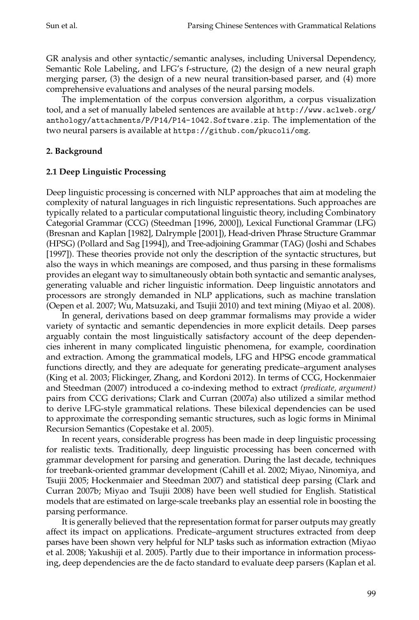GR analysis and other syntactic/semantic analyses, including Universal Dependency, Semantic Role Labeling, and LFG's f-structure, (2) the design of a new neural graph merging parser, (3) the design of a new neural transition-based parser, and (4) more comprehensive evaluations and analyses of the neural parsing models.

The implementation of the corpus conversion algorithm, a corpus visualization tool, and a set of manually labeled sentences are available at [http://www.aclweb.org/](http://www.aclweb.org/anthology/attachments/P/P14/P14-1042.Software.zip) [anthology/attachments/P/P14/P14-1042.Software.zip](http://www.aclweb.org/anthology/attachments/P/P14/P14-1042.Software.zip). The implementation of the two neural parsers is available at <https://github.com/pkucoli/omg>.

## **2. Background**

## **2.1 Deep Linguistic Processing**

Deep linguistic processing is concerned with NLP approaches that aim at modeling the complexity of natural languages in rich linguistic representations. Such approaches are typically related to a particular computational linguistic theory, including Combinatory Categorial Grammar (CCG) [\(Steedman \[1996, 2000\]](#page-0-0)), Lexical Functional Grammar (LFG) [\(Bresnan and Kaplan \[1982\]](#page-0-0), [Dalrymple \[2001\]](#page-0-0)), Head-driven Phrase Structure Grammar (HPSG) [\(Pollard and Sag \[1994\]](#page-0-0)), and Tree-adjoining Grammar (TAG) [\(Joshi and Schabes](#page-0-0) [\[1997\]](#page-0-0)). These theories provide not only the description of the syntactic structures, but also the ways in which meanings are composed, and thus parsing in these formalisms provides an elegant way to simultaneously obtain both syntactic and semantic analyses, generating valuable and richer linguistic information. Deep linguistic annotators and processors are strongly demanded in NLP applications, such as machine translation [\(Oepen et al. 2007; Wu, Matsuzaki, and Tsujii 2010\)](#page-0-0) and text mining [\(Miyao et al. 2008\)](#page-0-0).

In general, derivations based on deep grammar formalisms may provide a wider variety of syntactic and semantic dependencies in more explicit details. Deep parses arguably contain the most linguistically satisfactory account of the deep dependencies inherent in many complicated linguistic phenomena, for example, coordination and extraction. Among the grammatical models, LFG and HPSG encode grammatical functions directly, and they are adequate for generating predicate–argument analyses [\(King et al. 2003; Flickinger, Zhang, and Kordoni 2012\)](#page-0-0). In terms of CCG, [Hockenmaier](#page-0-0) [and Steedman \(2007\)](#page-0-0) introduced a co-indexing method to extract *(predicate, argument)* pairs from CCG derivations; [Clark and Curran \(2007a\)](#page-0-0) also utilized a similar method to derive LFG-style grammatical relations. These bilexical dependencies can be used to approximate the corresponding semantic structures, such as logic forms in Minimal Recursion Semantics [\(Copestake et al. 2005\)](#page-0-0).

In recent years, considerable progress has been made in deep linguistic processing for realistic texts. Traditionally, deep linguistic processing has been concerned with grammar development for parsing and generation. During the last decade, techniques for treebank-oriented grammar development [\(Cahill et al. 2002; Miyao, Ninomiya, and](#page-0-0) [Tsujii 2005; Hockenmaier and Steedman 2007\)](#page-0-0) and statistical deep parsing [\(Clark and](#page-0-0) [Curran 2007b; Miyao and Tsujii 2008\)](#page-0-0) have been well studied for English. Statistical models that are estimated on large-scale treebanks play an essential role in boosting the parsing performance.

It is generally believed that the representation format for parser outputs may greatly affect its impact on applications. Predicate–argument structures extracted from deep parses have been shown very helpful for NLP tasks such as information extraction [\(Miyao](#page-0-0) [et al. 2008; Yakushiji et al. 2005\)](#page-0-0). Partly due to their importance in information processing, deep dependencies are the de facto standard to evaluate deep parsers [\(Kaplan et al.](#page-0-0)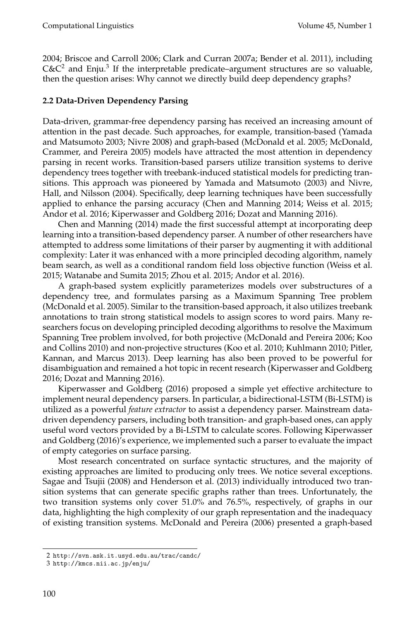[2004; Briscoe and Carroll 2006; Clark and Curran 2007a; Bender et al. 2011\)](#page-0-0), including  $C$ & $C<sup>2</sup>$  $C<sup>2</sup>$  $C<sup>2</sup>$  and Enju.<sup>[3](#page-5-1)</sup> If the interpretable predicate–argument structures are so valuable, then the question arises: Why cannot we directly build deep dependency graphs?

## **2.2 Data-Driven Dependency Parsing**

Data-driven, grammar-free dependency parsing has received an increasing amount of attention in the past decade. Such approaches, for example, transition-based [\(Yamada](#page-0-0) [and Matsumoto 2003; Nivre 2008\) and graph-based \(McDonald et al. 2005; McDonald,](#page-0-0) [Crammer, and Pereira 2005\)](#page-0-0) models have attracted the most attention in dependency parsing in recent works. Transition-based parsers utilize transition systems to derive dependency trees together with treebank-induced statistical models for predicting transitions. This approach was pioneered by [Yamada and Matsumoto \(2003\)](#page-0-0) and [Nivre,](#page-0-0) [Hall, and Nilsson \(2004\)](#page-0-0). Specifically, deep learning techniques have been successfully applied to enhance the parsing accuracy [\(Chen and Manning 2014; Weiss et al. 2015;](#page-0-0) [Andor et al. 2016; Kiperwasser and Goldberg 2016; Dozat and Manning 2016\)](#page-0-0).

[Chen and Manning \(2014\)](#page-0-0) made the first successful attempt at incorporating deep learning into a transition-based dependency parser. A number of other researchers have attempted to address some limitations of their parser by augmenting it with additional complexity: Later it was enhanced with a more principled decoding algorithm, namely beam search, as well as a conditional random field loss objective function [\(Weiss et al.](#page-0-0) [2015; Watanabe and Sumita 2015; Zhou et al. 2015; Andor et al. 2016\)](#page-0-0).

A graph-based system explicitly parameterizes models over substructures of a dependency tree, and formulates parsing as a Maximum Spanning Tree problem [\(McDonald et al. 2005\)](#page-0-0). Similar to the transition-based approach, it also utilizes treebank annotations to train strong statistical models to assign scores to word pairs. Many researchers focus on developing principled decoding algorithms to resolve the Maximum Spanning Tree problem involved, for both projective [\(McDonald and Pereira 2006; Koo](#page-0-0) [and Collins 2010\)](#page-0-0) and non-projective structures [\(Koo et al. 2010; Kuhlmann 2010; Pitler,](#page-0-0) [Kannan, and Marcus 2013\)](#page-0-0). Deep learning has also been proved to be powerful for disambiguation and remained a hot topic in recent research [\(Kiperwasser and Goldberg](#page-0-0) [2016; Dozat and Manning 2016\)](#page-0-0).

[Kiperwasser and Goldberg \(2016\)](#page-0-0) proposed a simple yet effective architecture to implement neural dependency parsers. In particular, a bidirectional-LSTM (Bi-LSTM) is utilized as a powerful *feature extractor* to assist a dependency parser. Mainstream datadriven dependency parsers, including both transition- and graph-based ones, can apply useful word vectors provided by a Bi-LSTM to calculate scores. Following [Kiperwasser](#page-0-0) [and Goldberg \(2016\)](#page-0-0)'s experience, we implemented such a parser to evaluate the impact of empty categories on surface parsing.

Most research concentrated on surface syntactic structures, and the majority of existing approaches are limited to producing only trees. We notice several exceptions. [Sagae and Tsujii \(2008\)](#page-0-0) and [Henderson et al. \(2013\)](#page-0-0) individually introduced two transition systems that can generate specific graphs rather than trees. Unfortunately, the two transition systems only cover 51.0% and 76.5%, respectively, of graphs in our data, highlighting the high complexity of our graph representation and the inadequacy of existing transition systems. [McDonald and Pereira \(2006\)](#page-0-0) presented a graph-based

<span id="page-5-0"></span><sup>2</sup> <http://svn.ask.it.usyd.edu.au/trac/candc/>

<span id="page-5-1"></span><sup>3</sup> <http://kmcs.nii.ac.jp/enju/>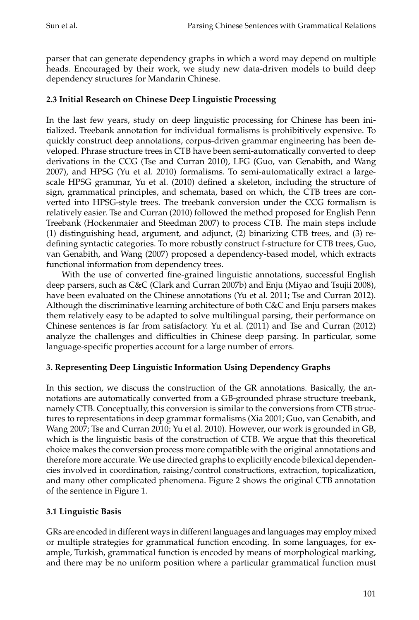parser that can generate dependency graphs in which a word may depend on multiple heads. Encouraged by their work, we study new data-driven models to build deep dependency structures for Mandarin Chinese.

## **2.3 Initial Research on Chinese Deep Linguistic Processing**

In the last few years, study on deep linguistic processing for Chinese has been initialized. Treebank annotation for individual formalisms is prohibitively expensive. To quickly construct deep annotations, corpus-driven grammar engineering has been developed. Phrase structure trees in CTB have been semi-automatically converted to deep derivations in the CCG [\(Tse and Curran 2010\)](#page-0-0), LFG [\(Guo, van Genabith, and Wang](#page-0-0) [2007\)](#page-0-0), and HPSG [\(Yu et al. 2010\)](#page-0-0) formalisms. To semi-automatically extract a largescale HPSG grammar, [Yu et al. \(2010\)](#page-0-0) defined a skeleton, including the structure of sign, grammatical principles, and schemata, based on which, the CTB trees are converted into HPSG-style trees. The treebank conversion under the CCG formalism is relatively easier. [Tse and Curran \(2010\)](#page-0-0) followed the method proposed for English Penn Treebank [\(Hockenmaier and Steedman 2007\)](#page-0-0) to process CTB. The main steps include (1) distinguishing head, argument, and adjunct, (2) binarizing CTB trees, and (3) redefining syntactic categories. To more robustly construct f-structure for CTB trees, [Guo,](#page-0-0) [van Genabith, and Wang \(2007\)](#page-0-0) proposed a dependency-based model, which extracts functional information from dependency trees.

With the use of converted fine-grained linguistic annotations, successful English deep parsers, such as C&C [\(Clark and Curran 2007b\)](#page-0-0) and Enju [\(Miyao and Tsujii 2008\)](#page-0-0), have been evaluated on the Chinese annotations [\(Yu et al. 2011; Tse and Curran 2012\)](#page-0-0). Although the discriminative learning architecture of both C&C and Enju parsers makes them relatively easy to be adapted to solve multilingual parsing, their performance on Chinese sentences is far from satisfactory. [Yu et al. \(2011\)](#page-0-0) and [Tse and Curran \(2012\)](#page-0-0) analyze the challenges and difficulties in Chinese deep parsing. In particular, some language-specific properties account for a large number of errors.

## **3. Representing Deep Linguistic Information Using Dependency Graphs**

In this section, we discuss the construction of the GR annotations. Basically, the annotations are automatically converted from a GB-grounded phrase structure treebank, namely CTB. Conceptually, this conversion is similar to the conversions from CTB structures to representations in deep grammar formalisms [\(Xia 2001; Guo, van Genabith, and](#page-0-0) [Wang 2007; Tse and Curran 2010; Yu et al. 2010\)](#page-0-0). However, our work is grounded in GB, which is the linguistic basis of the construction of CTB. We argue that this theoretical choice makes the conversion process more compatible with the original annotations and therefore more accurate. We use directed graphs to explicitly encode bilexical dependencies involved in coordination, raising/control constructions, extraction, topicalization, and many other complicated phenomena. Figure [2](#page-7-0) shows the original CTB annotation of the sentence in Figure [1.](#page-2-0)

## **3.1 Linguistic Basis**

GRs are encoded in different ways in different languages and languages may employ mixed or multiple strategies for grammatical function encoding. In some languages, for example, Turkish, grammatical function is encoded by means of morphological marking, and there may be no uniform position where a particular grammatical function must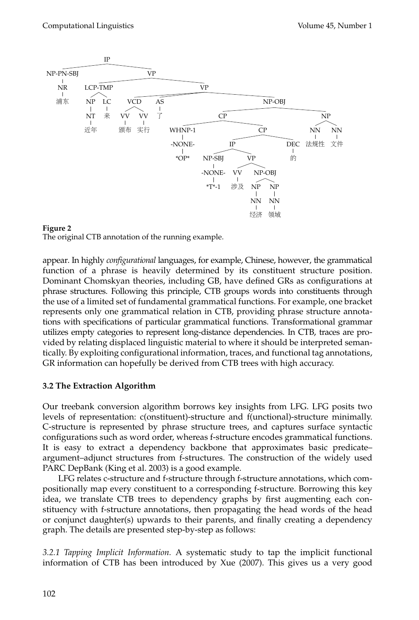

<span id="page-7-0"></span>

appear. In highly *configurational* languages, for example, Chinese, however, the grammatical function of a phrase is heavily determined by its constituent structure position. Dominant Chomskyan theories, including GB, have defined GRs as configurations at phrase structures. Following this principle, CTB groups words into constituents through the use of a limited set of fundamental grammatical functions. For example, one bracket represents only one grammatical relation in CTB, providing phrase structure annotations with specifications of particular grammatical functions. Transformational grammar utilizes empty categories to represent long-distance dependencies. In CTB, traces are provided by relating displaced linguistic material to where it should be interpreted semantically. By exploiting configurational information, traces, and functional tag annotations, GR information can hopefully be derived from CTB trees with high accuracy.

## **3.2 The Extraction Algorithm**

Our treebank conversion algorithm borrows key insights from LFG. LFG posits two levels of representation: c(onstituent)-structure and f(unctional)-structure minimally. C-structure is represented by phrase structure trees, and captures surface syntactic configurations such as word order, whereas f-structure encodes grammatical functions. It is easy to extract a dependency backbone that approximates basic predicate– argument–adjunct structures from f-structures. The construction of the widely used PARC DepBank [\(King et al. 2003\)](#page-0-0) is a good example.

LFG relates c-structure and f-structure through f-structure annotations, which compositionally map every constituent to a corresponding f-structure. Borrowing this key idea, we translate CTB trees to dependency graphs by first augmenting each constituency with f-structure annotations, then propagating the head words of the head or conjunct daughter(s) upwards to their parents, and finally creating a dependency graph. The details are presented step-by-step as follows:

*3.2.1 Tapping Implicit Information.* A systematic study to tap the implicit functional information of CTB has been introduced by [Xue \(2007\)](#page-0-0). This gives us a very good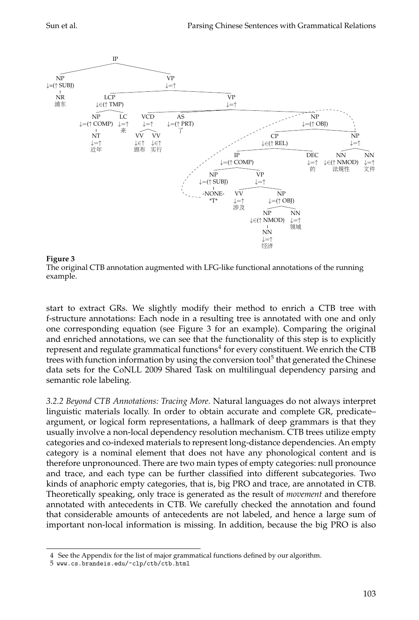



<span id="page-8-0"></span>The original CTB annotation augmented with LFG-like functional annotations of the running example.

start to extract GRs. We slightly modify their method to enrich a CTB tree with f-structure annotations: Each node in a resulting tree is annotated with one and only one corresponding equation (see Figure [3](#page-8-0) for an example). Comparing the original and enriched annotations, we can see that the functionality of this step is to explicitly represent and regulate grammatical functions $^4$  $^4$  for every constituent. We enrich the CTB trees with function information by using the conversion tool<sup>[5](#page-8-2)</sup> that generated the Chinese data sets for the CoNLL 2009 Shared Task on multilingual dependency parsing and semantic role labeling.

*3.2.2 Beyond CTB Annotations: Tracing More.* Natural languages do not always interpret linguistic materials locally. In order to obtain accurate and complete GR, predicate– argument, or logical form representations, a hallmark of deep grammars is that they usually involve a non-local dependency resolution mechanism. CTB trees utilize empty categories and co-indexed materials to represent long-distance dependencies. An empty category is a nominal element that does not have any phonological content and is therefore unpronounced. There are two main types of empty categories: null pronounce and trace, and each type can be further classified into different subcategories. Two kinds of anaphoric empty categories, that is, big PRO and trace, are annotated in CTB. Theoretically speaking, only trace is generated as the result of *movement* and therefore annotated with antecedents in CTB. We carefully checked the annotation and found that considerable amounts of antecedents are not labeled, and hence a large sum of important non-local information is missing. In addition, because the big PRO is also

<span id="page-8-1"></span><sup>4</sup> See the Appendix for the list of major grammatical functions defined by our algorithm.

<span id="page-8-2"></span><sup>5</sup> <www.cs.brandeis.edu/~clp/ctb/ctb.html>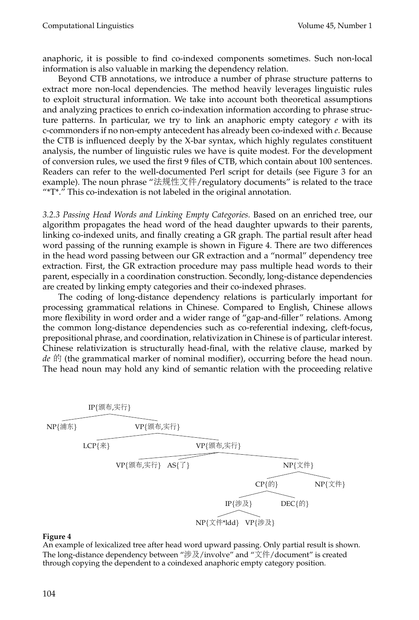anaphoric, it is possible to find co-indexed components sometimes. Such non-local information is also valuable in marking the dependency relation.

Beyond CTB annotations, we introduce a number of phrase structure patterns to extract more non-local dependencies. The method heavily leverages linguistic rules to exploit structural information. We take into account both theoretical assumptions and analyzing practices to enrich co-indexation information according to phrase structure patterns. In particular, we try to link an anaphoric empty category *e* with its c-commonders if no non-empty antecedent has already been co-indexed with *e*. Because the CTB is influenced deeply by the X-bar syntax, which highly regulates constituent analysis, the number of linguistic rules we have is quite modest. For the development of conversion rules, we used the first 9 files of CTB, which contain about 100 sentences. Readers can refer to the well-documented Perl script for details (see Figure [3](#page-8-0) for an example). The noun phrase "法规性文件/regulatory documents" is related to the trace "\*T\*." This co-indexation is not labeled in the original annotation.

*3.2.3 Passing Head Words and Linking Empty Categories.* Based on an enriched tree, our algorithm propagates the head word of the head daughter upwards to their parents, linking co-indexed units, and finally creating a GR graph. The partial result after head word passing of the running example is shown in Figure [4.](#page-9-0) There are two differences in the head word passing between our GR extraction and a "normal" dependency tree extraction. First, the GR extraction procedure may pass multiple head words to their parent, especially in a coordination construction. Secondly, long-distance dependencies are created by linking empty categories and their co-indexed phrases.

The coding of long-distance dependency relations is particularly important for processing grammatical relations in Chinese. Compared to English, Chinese allows more flexibility in word order and a wider range of "gap-and-filler" relations. Among the common long-distance dependencies such as co-referential indexing, cleft-focus, prepositional phrase, and coordination, relativization in Chinese is of particular interest. Chinese relativization is structurally head-final, with the relative clause, marked by *de* 的 (the grammatical marker of nominal modifier), occurring before the head noun. The head noun may hold any kind of semantic relation with the proceeding relative



#### **Figure 4**

<span id="page-9-0"></span>An example of lexicalized tree after head word upward passing. Only partial result is shown. The long-distance dependency between "涉及/involve" and "文件/document" is created through copying the dependent to a coindexed anaphoric empty category position.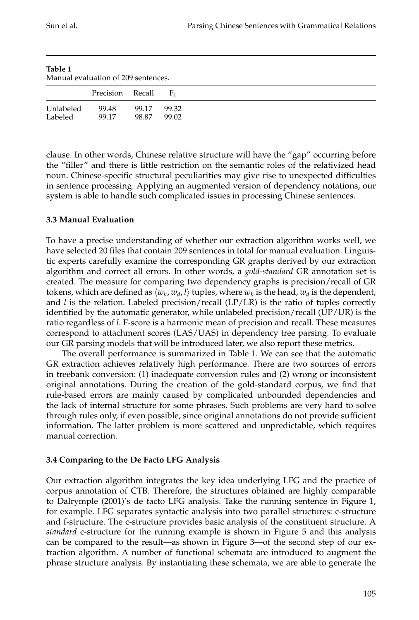<span id="page-10-0"></span>

| Table 1   | Manual evaluation of 209 sentences. |       |                |  |
|-----------|-------------------------------------|-------|----------------|--|
|           | Precision Recall                    |       | $\mathbf{F}_1$ |  |
| Unlabeled | 99.48                               | 99.17 | 99.32          |  |
| Labeled   | 99.17                               | 98.87 | 99.02          |  |

clause. In other words, Chinese relative structure will have the "gap" occurring before the "filler" and there is little restriction on the semantic roles of the relativized head noun. Chinese-specific structural peculiarities may give rise to unexpected difficulties in sentence processing. Applying an augmented version of dependency notations, our system is able to handle such complicated issues in processing Chinese sentences.

## **3.3 Manual Evaluation**

To have a precise understanding of whether our extraction algorithm works well, we have selected 20 files that contain 209 sentences in total for manual evaluation. Linguistic experts carefully examine the corresponding GR graphs derived by our extraction algorithm and correct all errors. In other words, a *gold-standard* GR annotation set is created. The measure for comparing two dependency graphs is precision/recall of GR tokens, which are defined as  $\langle w_h, w_d, l \rangle$  tuples, where  $w_h$  is the head,  $w_d$  is the dependent, and  $l$  is the relation. Labeled precision/recall  $(LP/LR)$  is the ratio of tuples correctly identified by the automatic generator, while unlabeled precision/recall  $(UP/UR)$  is the ratio regardless of *l*. F-score is a harmonic mean of precision and recall. These measures correspond to attachment scores (LAS/UAS) in dependency tree parsing. To evaluate our GR parsing models that will be introduced later, we also report these metrics.

The overall performance is summarized in Table [1.](#page-10-0) We can see that the automatic GR extraction achieves relatively high performance. There are two sources of errors in treebank conversion: (1) inadequate conversion rules and (2) wrong or inconsistent original annotations. During the creation of the gold-standard corpus, we find that rule-based errors are mainly caused by complicated unbounded dependencies and the lack of internal structure for some phrases. Such problems are very hard to solve through rules only, if even possible, since original annotations do not provide sufficient information. The latter problem is more scattered and unpredictable, which requires manual correction.

## **3.4 Comparing to the De Facto LFG Analysis**

Our extraction algorithm integrates the key idea underlying LFG and the practice of corpus annotation of CTB. Therefore, the structures obtained are highly comparable to [Dalrymple \(2001\)](#page-0-0)'s de facto LFG analysis. Take the running sentence in Figure [1,](#page-2-0) for example. LFG separates syntactic analysis into two parallel structures: c-structure and f-structure. The c-structure provides basic analysis of the constituent structure. A *standard* c-structure for the running example is shown in Figure [5](#page-11-0) and this analysis can be compared to the result—as shown in Figure [3—](#page-8-0)of the second step of our extraction algorithm. A number of functional schemata are introduced to augment the phrase structure analysis. By instantiating these schemata, we are able to generate the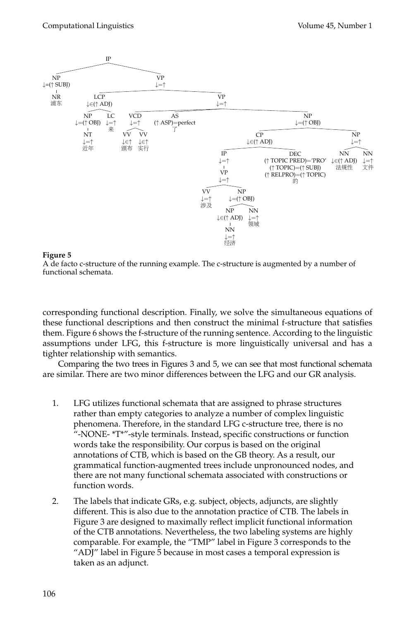

<span id="page-11-0"></span>A de facto c-structure of the running example. The c-structure is augmented by a number of functional schemata.

corresponding functional description. Finally, we solve the simultaneous equations of these functional descriptions and then construct the minimal f-structure that satisfies them. Figure [6](#page-12-0) shows the f-structure of the running sentence. According to the linguistic assumptions under LFG, this f-structure is more linguistically universal and has a tighter relationship with semantics.

Comparing the two trees in Figures [3](#page-8-0) and [5,](#page-11-0) we can see that most functional schemata are similar. There are two minor differences between the LFG and our GR analysis.

- 1. LFG utilizes functional schemata that are assigned to phrase structures rather than empty categories to analyze a number of complex linguistic phenomena. Therefore, in the standard LFG c-structure tree, there is no "-NONE- \*T\*"-style terminals. Instead, specific constructions or function words take the responsibility. Our corpus is based on the original annotations of CTB, which is based on the GB theory. As a result, our grammatical function-augmented trees include unpronounced nodes, and there are not many functional schemata associated with constructions or function words.
- 2. The labels that indicate GRs, e.g. subject, objects, adjuncts, are slightly different. This is also due to the annotation practice of CTB. The labels in Figure [3](#page-8-0) are designed to maximally reflect implicit functional information of the CTB annotations. Nevertheless, the two labeling systems are highly comparable. For example, the "TMP" label in Figure [3](#page-8-0) corresponds to the "ADJ" label in Figure [5](#page-11-0) because in most cases a temporal expression is taken as an adjunct.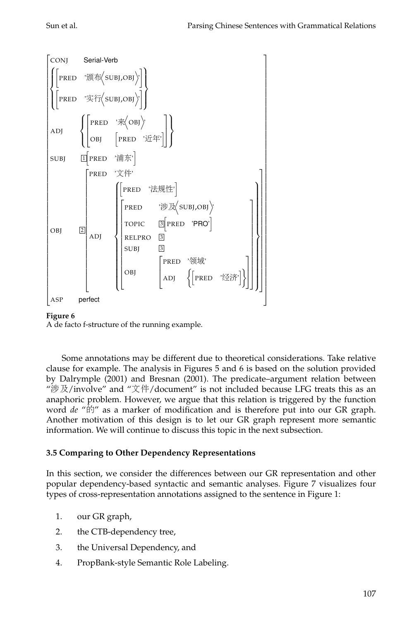

<span id="page-12-0"></span>A de facto f-structure of the running example.

Some annotations may be different due to theoretical considerations. Take relative clause for example. The analysis in Figures [5](#page-11-0) and [6](#page-12-0) is based on the solution provided by [Dalrymple \(2001\)](#page-0-0) and [Bresnan \(2001\)](#page-0-0). The predicate–argument relation between "涉及/involve" and "文件/document" is not included because LFG treats this as an anaphoric problem. However, we argue that this relation is triggered by the function word *de* "的" as a marker of modification and is therefore put into our GR graph. Another motivation of this design is to let our GR graph represent more semantic information. We will continue to discuss this topic in the next subsection.

## **3.5 Comparing to Other Dependency Representations**

In this section, we consider the differences between our GR representation and other popular dependency-based syntactic and semantic analyses. Figure [7](#page-13-0) visualizes four types of cross-representation annotations assigned to the sentence in Figure [1:](#page-2-0)

- 1. our GR graph,
- 2. the CTB-dependency tree,
- 3. the Universal Dependency, and
- 4. PropBank-style Semantic Role Labeling.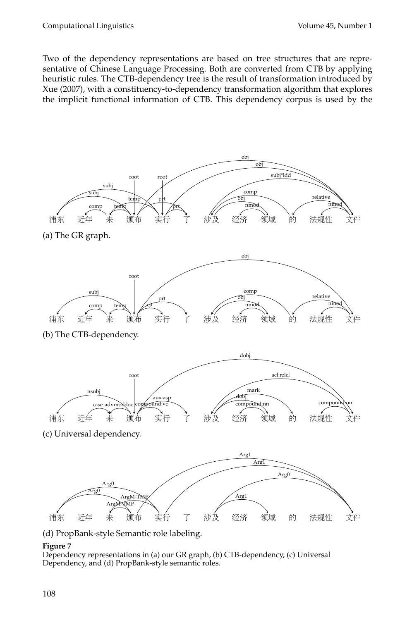Two of the dependency representations are based on tree structures that are representative of Chinese Language Processing. Both are converted from CTB by applying heuristic rules. The CTB-dependency tree is the result of transformation introduced by [Xue \(2007\)](#page-0-0), with a constituency-to-dependency transformation algorithm that explores the implicit functional information of CTB. This dependency corpus is used by the



#### **Figure 7**

<span id="page-13-0"></span>Dependency representations in (a) our GR graph, (b) CTB-dependency, (c) Universal Dependency, and (d) PropBank-style semantic roles.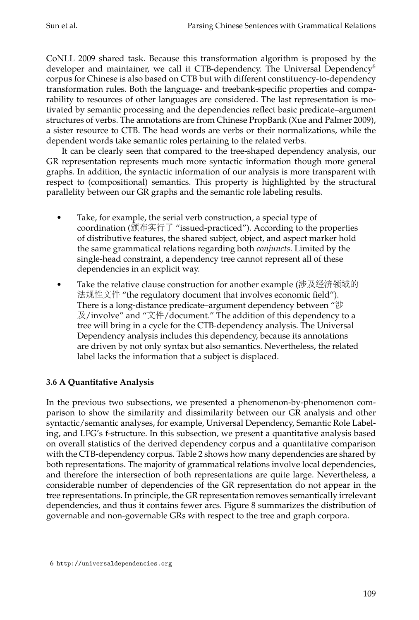CoNLL 2009 shared task. Because this transformation algorithm is proposed by the developer and maintainer, we call it CTB-dependency. The Universal Dependency<sup>[6](#page-14-0)</sup> corpus for Chinese is also based on CTB but with different constituency-to-dependency transformation rules. Both the language- and treebank-specific properties and comparability to resources of other languages are considered. The last representation is motivated by semantic processing and the dependencies reflect basic predicate–argument structures of verbs. The annotations are from Chinese PropBank [\(Xue and Palmer 2009\)](#page-0-0), a sister resource to CTB. The head words are verbs or their normalizations, while the dependent words take semantic roles pertaining to the related verbs.

It can be clearly seen that compared to the tree-shaped dependency analysis, our GR representation represents much more syntactic information though more general graphs. In addition, the syntactic information of our analysis is more transparent with respect to (compositional) semantics. This property is highlighted by the structural parallelity between our GR graphs and the semantic role labeling results.

- Take, for example, the serial verb construction, a special type of coordination (颁布实行<sup>了</sup> "issued-practiced"). According to the properties of distributive features, the shared subject, object, and aspect marker hold the same grammatical relations regarding both *conjuncts*. Limited by the single-head constraint, a dependency tree cannot represent all of these dependencies in an explicit way.
- Take the relative clause construction for another example (涉及经济领域<sup>的</sup> 法规性文件 "the regulatory document that involves economic field"). There is a long-distance predicate–argument dependency between "涉 及/involve" and "文件/document." The addition of this dependency to a tree will bring in a cycle for the CTB-dependency analysis. The Universal Dependency analysis includes this dependency, because its annotations are driven by not only syntax but also semantics. Nevertheless, the related label lacks the information that a subject is displaced.

## **3.6 A Quantitative Analysis**

In the previous two subsections, we presented a phenomenon-by-phenomenon comparison to show the similarity and dissimilarity between our GR analysis and other syntactic/semantic analyses, for example, Universal Dependency, Semantic Role Labeling, and LFG's f-structure. In this subsection, we present a quantitative analysis based on overall statistics of the derived dependency corpus and a quantitative comparison with the CTB-dependency corpus. Table [2](#page-15-0) shows how many dependencies are shared by both representations. The majority of grammatical relations involve local dependencies, and therefore the intersection of both representations are quite large. Nevertheless, a considerable number of dependencies of the GR representation do not appear in the tree representations. In principle, the GR representation removes semantically irrelevant dependencies, and thus it contains fewer arcs. Figure [8](#page-15-1) summarizes the distribution of governable and non-governable GRs with respect to the tree and graph corpora.

<span id="page-14-0"></span><sup>6</sup> <http://universaldependencies.org>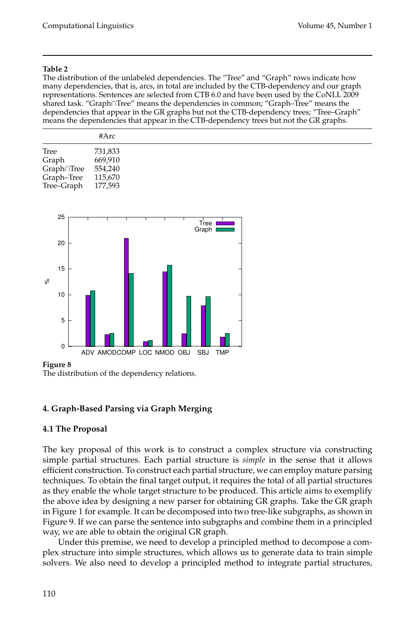<span id="page-15-0"></span>The distribution of the unlabeled dependencies. The "Tree" and "Graph" rows indicate how many dependencies, that is, arcs, in total are included by the CTB-dependency and our graph representations. Sentences are selected from CTB 6.0 and have been used by the CoNLL 2009 shared task. "Graph∩Tree" means the dependencies in common; "Graph–Tree" means the dependencies that appear in the GR graphs but not the CTB-dependency trees; "Tree–Graph" means the dependencies that appear in the CTB-dependency trees but not the GR graphs.

|                    | #Arc    |  |
|--------------------|---------|--|
| Tree               | 731,833 |  |
| Graph              | 669,910 |  |
| Graph∩Tree 554,240 |         |  |
| Graph-Tree 115,670 |         |  |
| Tree-Graph 177,593 |         |  |



#### **Figure 8**

<span id="page-15-1"></span>The distribution of the dependency relations.

## **4. Graph-Based Parsing via Graph Merging**

#### **4.1 The Proposal**

The key proposal of this work is to construct a complex structure via constructing simple partial structures. Each partial structure is *simple* in the sense that it allows efficient construction. To construct each partial structure, we can employ mature parsing techniques. To obtain the final target output, it requires the total of all partial structures as they enable the whole target structure to be produced. This article aims to exemplify the above idea by designing a new parser for obtaining GR graphs. Take the GR graph in Figure [1](#page-2-0) for example. It can be decomposed into two tree-like subgraphs, as shown in Figure [9.](#page-16-0) If we can parse the sentence into subgraphs and combine them in a principled way, we are able to obtain the original GR graph.

Under this premise, we need to develop a principled method to decompose a complex structure into simple structures, which allows us to generate data to train simple solvers. We also need to develop a principled method to integrate partial structures,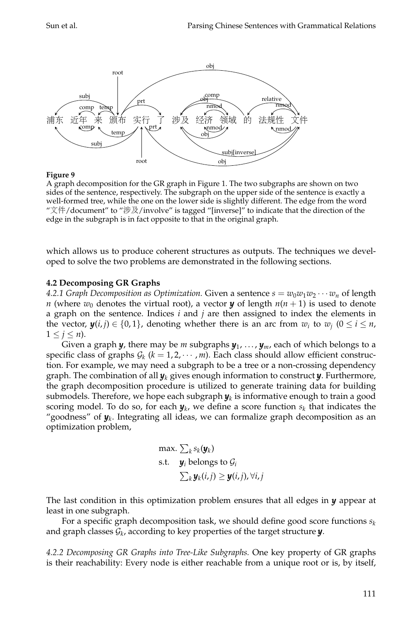

<span id="page-16-0"></span>A graph decomposition for the GR graph in Figure [1.](#page-2-0) The two subgraphs are shown on two sides of the sentence, respectively. The subgraph on the upper side of the sentence is exactly a well-formed tree, while the one on the lower side is slightly different. The edge from the word "文件/document" to "涉及/involve" is tagged "[inverse]" to indicate that the direction of the edge in the subgraph is in fact opposite to that in the original graph.

which allows us to produce coherent structures as outputs. The techniques we developed to solve the two problems are demonstrated in the following sections.

#### **4.2 Decomposing GR Graphs**

4.2.1 *Graph Decomposition as Optimization. Given a sentence*  $s = w_0w_1w_2\cdots w_n$  *of length n* (where  $w_0$  denotes the virtual root), a vector *y* of length  $n(n + 1)$  is used to denote a graph on the sentence. Indices *i* and *j* are then assigned to index the elements in the vector,  $\mathbf{y}(i, j) \in \{0, 1\}$ , denoting whether there is an arc from  $w_i$  to  $w_j$   $(0 \le i \le n$ ,  $1 \leq j \leq n$ ).

Given a graph *y*, there may be *m* subgraphs *y*<sup>1</sup> , . . . , *ym*, each of which belongs to a specific class of graphs  $G_k$  ( $k = 1, 2, \cdots, m$ ). Each class should allow efficient construction. For example, we may need a subgraph to be a tree or a non-crossing dependency graph. The combination of all *y<sup>k</sup>* gives enough information to construct *y*. Furthermore, the graph decomposition procedure is utilized to generate training data for building submodels. Therefore*,* we hope each subgraph  $\boldsymbol{y}_k$  is informative enough to train a good scoring model. To do so, for each  $\boldsymbol{y}_k$ , we define a score function  $s_k$  that indicates the "goodness" of  $\pmb{y}_k$ . Integrating all ideas, we can formalize graph decomposition as an optimization problem,

max. 
$$
\sum_k s_k(\mathbf{y}_k)
$$
  
s.t.  $\mathbf{y}_i$  belongs to  $\mathcal{G}_i$   
 $\sum_k \mathbf{y}_k(i,j) \geq \mathbf{y}(i,j), \forall i,j$ 

The last condition in this optimization problem ensures that all edges in *y* appear at least in one subgraph.

For a specific graph decomposition task, we should define good score functions  $s_k$ and graph classes G*<sup>k</sup>* , according to key properties of the target structure *y*.

*4.2.2 Decomposing GR Graphs into Tree-Like Subgraphs.* One key property of GR graphs is their reachability: Every node is either reachable from a unique root or is, by itself,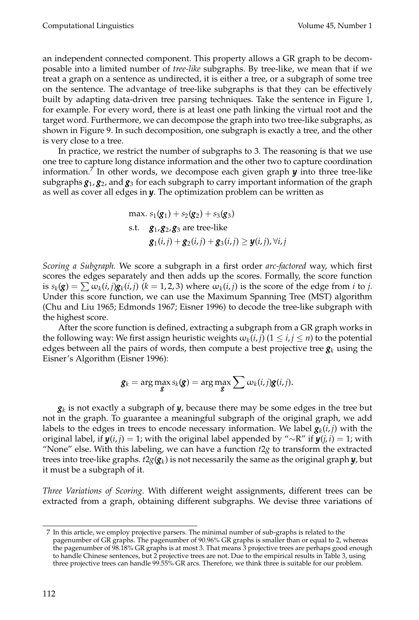an independent connected component. This property allows a GR graph to be decomposable into a limited number of *tree-like* subgraphs. By tree-like, we mean that if we treat a graph on a sentence as undirected, it is either a tree, or a subgraph of some tree on the sentence. The advantage of tree-like subgraphs is that they can be effectively built by adapting data-driven tree parsing techniques. Take the sentence in Figure [1,](#page-2-0) for example. For every word, there is at least one path linking the virtual root and the target word. Furthermore, we can decompose the graph into two tree-like subgraphs, as shown in Figure [9.](#page-16-0) In such decomposition, one subgraph is exactly a tree, and the other is very close to a tree.

In practice, we restrict the number of subgraphs to 3. The reasoning is that we use one tree to capture long distance information and the other two to capture coordination information.[7](#page-17-0) In other words, we decompose each given graph *y* into three tree-like subgraphs  $g_1,g_2$ , and  $g_3$  for each subgraph to carry important information of the graph as well as cover all edges in *y*. The optimization problem can be written as

max. 
$$
s_1(\mathbf{g}_1) + s_2(\mathbf{g}_2) + s_3(\mathbf{g}_3)
$$
  
s.t.  $\mathbf{g}_1, \mathbf{g}_2, \mathbf{g}_3$  are tree-like  
 $\mathbf{g}_1(i,j) + \mathbf{g}_2(i,j) + \mathbf{g}_3(i,j) \geq \mathbf{y}(i,j), \forall i, j$ 

*Scoring a Subgraph.* We score a subgraph in a first order *arc-factored* way, which first scores the edges separately and then adds up the scores. Formally, the score function is  $s_k(g) = \sum \omega_k(i,j)g_k(i,j)$  ( $k = 1,2,3$ ) where  $\omega_k(i,j)$  is the score of the edge from *i* to *j*. Under this score function, we can use the Maximum Spanning Tree (MST) algorithm [\(Chu and Liu 1965; Edmonds 1967; Eisner 1996\)](#page-0-0) to decode the tree-like subgraph with the highest score.

After the score function is defined, extracting a subgraph from a GR graph works in the following way: We first assign heuristic weights  $\omega_k(i,j)$   $(1 \leq i,j \leq n)$  to the potential edges between all the pairs of words, then compute a best projective tree  $g_k$  using the Eisner's Algorithm [\(Eisner 1996\)](#page-0-0):

$$
\mathbf{g}_k = \arg \max_{\mathbf{g}} s_k(\mathbf{g}) = \arg \max_{\mathbf{g}} \sum \omega_k(i,j) \mathbf{g}(i,j).
$$

*gk* is not exactly a subgraph of *y*, because there may be some edges in the tree but not in the graph. To guarantee a meaningful subgraph of the original graph, we add labels to the edges in trees to encode necessary information. We label  $\bm{g}_k(i,j)$  with the original label, if  $y(i, j) = 1$ ; with the original label appended by "∼R" if  $y(j, i) = 1$ ; with "None" else. With this labeling, we can have a function  $t2g$  to transform the extracted trees into tree-like graphs. *t*2*g*(*g<sup>k</sup>* ) is not necessarily the same as the original graph *y*, but it must be a subgraph of it.

*Three Variations of Scoring.* With different weight assignments, different trees can be extracted from a graph, obtaining different subgraphs. We devise three variations of

<span id="page-17-0"></span><sup>7</sup> In this article, we employ projective parsers. The minimal number of sub-graphs is related to the pagenumber of GR graphs. The pagenumber of 90.96% GR graphs is smaller than or equal to 2, whereas the pagenumber of 98.18% GR graphs is at most 3. That means 3 projective trees are perhaps good enough to handle Chinese sentences, but 2 projective trees are not. Due to the empirical results in Table 3, using three projective trees can handle 99.55% GR arcs. Therefore, we think three is suitable for our problem.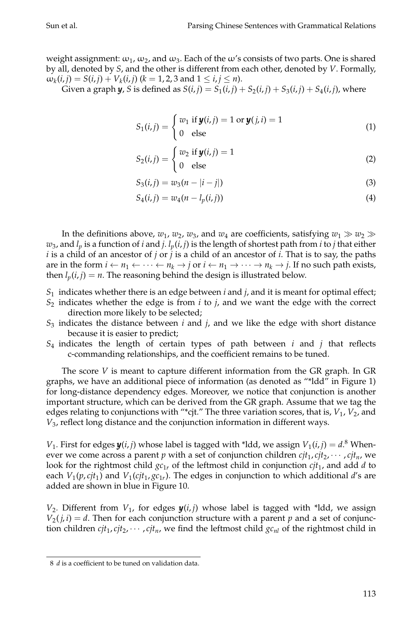weight assignment:  $\omega_1$ ,  $\omega_2$ , and  $\omega_3$ . Each of the  $\omega$ 's consists of two parts. One is shared by all, denoted by *S*, and the other is different from each other, denoted by *V*. Formally,  $\omega_k(i,j) = S(i,j) + V_k(i,j)$  ( $k = 1, 2, 3$  and  $1 \le i, j \le n$ ).

Given a graph  $y$ , *S* is defined as  $S(i,j) = S_1(i,j) + S_2(i,j) + S_3(i,j) + S_4(i,j)$ , where

$$
S_1(i,j) = \begin{cases} w_1 \text{ if } y(i,j) = 1 \text{ or } y(j,i) = 1\\ 0 \text{ else} \end{cases}
$$
 (1)

$$
S_2(i,j) = \begin{cases} w_2 \text{ if } \mathbf{y}(i,j) = 1\\ 0 \text{ else} \end{cases}
$$
 (2)

$$
S_3(i,j) = w_3(n-|i-j|)
$$
 (3)

$$
S_4(i,j) = w_4(n - l_p(i,j))
$$
\n(4)

In the definitions above,  $w_1$ ,  $w_2$ ,  $w_3$ , and  $w_4$  are coefficients, satisfying  $w_1 \gg w_2 \gg$  $w_3$ , and  $l_p$  is a function of *i* and *j*.  $l_p(i,j)$  is the length of shortest path from *i* to *j* that either *i* is a child of an ancestor of *j* or *j* is a child of an ancestor of *i*. That is to say, the paths are in the form  $i \leftarrow n_1 \leftarrow \cdots \leftarrow n_k \rightarrow j$  or  $i \leftarrow n_1 \rightarrow \cdots \rightarrow n_k \rightarrow j$ . If no such path exists, then  $l_p(i, j) = n$ . The reasoning behind the design is illustrated below.

- *S*1 indicates whether there is an edge between *i* and *j*, and it is meant for optimal effect;
- *S*2 indicates whether the edge is from *i* to *j*, and we want the edge with the correct direction more likely to be selected;
- *S*3 indicates the distance between *i* and *j*, and we like the edge with short distance because it is easier to predict;
- *S*4 indicates the length of certain types of path between *i* and *j* that reflects c-commanding relationships, and the coefficient remains to be tuned.

The score *V* is meant to capture different information from the GR graph. In GR graphs, we have an additional piece of information (as denoted as "\*ldd" in Figure [1\)](#page-2-0) for long-distance dependency edges. Moreover, we notice that conjunction is another important structure, which can be derived from the GR graph. Assume that we tag the edges relating to conjunctions with "\*cjt." The three variation scores, that is,  $V_1$ ,  $V_2$ , and *V*3 , reflect long distance and the conjunction information in different ways.

*V*<sub>1</sub>. First for edges  $\boldsymbol{y}(i, j)$  whose label is tagged with \*ldd, we assign  $V_1(i, j) = d$ .<sup>[8](#page-18-0)</sup> Whenever we come across a parent  $p$  with a set of conjunction children  $cjt_1, cjt_2, \cdots, cjt_n$ , we look for the rightmost child *gc*1*<sup>r</sup>* of the leftmost child in conjunction *cjt*<sup>1</sup> , and add *d* to each  $V_1(p,cjt_1)$  and  $V_1(cjt_1,gc_{1r})$ . The edges in conjunction to which additional  $d$ 's are added are shown in blue in Figure [10.](#page-19-0)

 $V_2$ . Different from  $V_1$ , for edges  $\boldsymbol{y}(i,j)$  whose label is tagged with \*ldd, we assign  $V_2(j, i) = d$ . Then for each conjunction structure with a parent *p* and a set of conjunction children  $cjt_1, cjt_2, \cdots, cjt_n$ , we find the leftmost child  $gc_{nl}$  of the rightmost child in

<span id="page-18-0"></span><sup>8</sup> *d* is a coefficient to be tuned on validation data.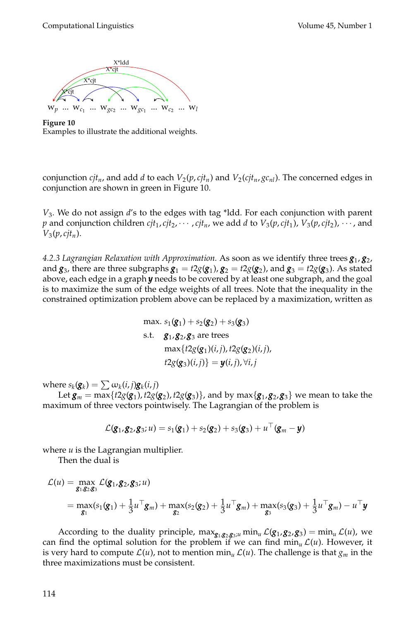

<span id="page-19-0"></span>**Figure 10** Examples to illustrate the additional weights.

conjunction  $cjt_n$ , and add *d* to each  $V_2(p,cjt_n)$  and  $V_2(cjt_n,\mathcal{gc}_{nl})$ . The concerned edges in conjunction are shown in green in Figure [10.](#page-19-0)

*V*3 *.* We do not assign *d*'s to the edges with tag \*ldd. For each conjunction with parent *p* and conjunction children  $cjt_1, cjt_2, \cdots$  ,  $cjt_n$ , we add *d* to  $V_3(p, cjt_1)$ ,  $V_3(p, cjt_2)$ ,  $\cdots$ , and *V*3 (*p*, *cjtn*).

*4.2.3 Lagrangian Relaxation with Approximation.* As soon as we identify three trees *g*<sup>1</sup> , *g*<sup>2</sup> , and  $g_3$ , there are three subgraphs  $g_1 = t2g(g_1)$ ,  $g_2 = t2g(g_2)$ , and  $g_3 = t2g(g_3)$ . As stated above, each edge in a graph *y* needs to be covered by at least one subgraph, and the goal is to maximize the sum of the edge weights of all trees. Note that the inequality in the constrained optimization problem above can be replaced by a maximization, written as

$$
\max. s_1(\mathbf{g}_1) + s_2(\mathbf{g}_2) + s_3(\mathbf{g}_3)
$$
\n
$$
\text{s.t.} \quad \mathbf{g}_1, \mathbf{g}_2, \mathbf{g}_3 \text{ are trees}
$$
\n
$$
\max\{t2g(\mathbf{g}_1)(i,j), t2g(\mathbf{g}_2)(i,j), t2g(\mathbf{g}_3)(i,j)\} = \mathbf{y}(i,j), \forall i, j
$$

where  $s_k(\mathbf{g}_k) = \sum \omega_k(i, j) \mathbf{g}_k(i, j)$ 

Let  $g_m = \max\{t2g({\bm g}_1), t2g({\bm g}_2), t2g({\bm g}_3)\}$ , and by  $\max\{{\bm g}_1, {\bm g}_2, {\bm g}_3\}$  we mean to take the maximum of three vectors pointwisely. The Lagrangian of the problem is

$$
\mathcal{L}(\mathbf{g}_1,\mathbf{g}_2,\mathbf{g}_3;u)=s_1(\mathbf{g}_1)+s_2(\mathbf{g}_2)+s_3(\mathbf{g}_3)+u^\top(\mathbf{g}_m-\mathbf{y})
$$

where *u* is the Lagrangian multiplier.

Then the dual is

$$
\mathcal{L}(u) = \max_{\mathbf{g}_1, \mathbf{g}_2, \mathbf{g}_3} \mathcal{L}(\mathbf{g}_1, \mathbf{g}_2, \mathbf{g}_3; u)
$$
  
= 
$$
\max_{\mathbf{g}_1} (s_1(\mathbf{g}_1) + \frac{1}{3}u^{\top}\mathbf{g}_m) + \max_{\mathbf{g}_2} (s_2(\mathbf{g}_2) + \frac{1}{3}u^{\top}\mathbf{g}_m) + \max_{\mathbf{g}_3} (s_3(\mathbf{g}_3) + \frac{1}{3}u^{\top}\mathbf{g}_m) - u^{\top}\mathbf{y}
$$

According to the duality principle,  $\max_{g_1, g_2, g_3; u} \min_u \mathcal{L}(g_1, g_2, g_3) = \min_u \mathcal{L}(u)$ , we can find the optimal solution for the problem if we can find min<sub>u</sub>  $\mathcal{L}(u)$ . However, it is very hard to compute  $\mathcal{L}(u)$ , not to mention min<sub>*u*</sub>  $\mathcal{L}(u)$ . The challenge is that  $g_m$  in the three maximizations must be consistent.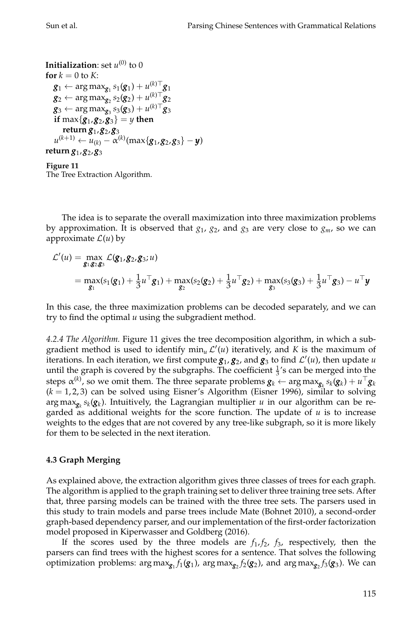```
Initialization: set u^{(0)} to 0for k = 0 to K:
     \boldsymbol{g}_1 \leftarrow \argmax_{\boldsymbol{g}_1} s_1(\boldsymbol{g}_1) + u_{\text{max}}^{(k)\top} \boldsymbol{g}_1\boldsymbol{g}_2 \leftarrow \argmax_{\boldsymbol{g}_2} s_2(\boldsymbol{g}_2) + u_{j_0}^{(k)\top} \boldsymbol{g}_2\boldsymbol{g}_3 \leftarrow \argmax_{\boldsymbol{g}_3} s_3(\boldsymbol{g}_3) + u^{(k)\top} \boldsymbol{g}_3\textbf{if } \max\{\mathbf{g}_1,\mathbf{g}_2,\mathbf{g}_3\} = y \textbf{ then}return g1
,g2
,g3
      u^{(k+1)} \leftarrow u_{(k)} - \alpha^{(k)}(\max\{g_1, g_2, g_3\} - y)return g1
,g2
,g3
Figure 11
```
<span id="page-20-0"></span>The Tree Extraction Algorithm.

The idea is to separate the overall maximization into three maximization problems by approximation. It is observed that  $g_1$ ,  $g_2$ , and  $g_3$  are very close to  $g_m$ , so we can approximate  $\mathcal{L}(u)$  by

$$
\mathcal{L}'(u) = \max_{\mathbf{g}_1, \mathbf{g}_2, \mathbf{g}_3} \mathcal{L}(\mathbf{g}_1, \mathbf{g}_2, \mathbf{g}_3; u) \n= \max_{\mathbf{g}_1} (s_1(\mathbf{g}_1) + \frac{1}{3}u^\top \mathbf{g}_1) + \max_{\mathbf{g}_2} (s_2(\mathbf{g}_2) + \frac{1}{3}u^\top \mathbf{g}_2) + \max_{\mathbf{g}_3} (s_3(\mathbf{g}_3) + \frac{1}{3}u^\top \mathbf{g}_3) - u^\top \mathbf{y}
$$

In this case, the three maximization problems can be decoded separately, and we can try to find the optimal *u* using the subgradient method.

*4.2.4 The Algorithm.* Figure [11](#page-20-0) gives the tree decomposition algorithm, in which a subgradient method is used to identify  $\min_{u} \mathcal{L}'(u)$  iteratively, and *K* is the maximum of iterations. In each iteration, we first compute  $g_1$ ,  $g_2$ , and  $g_3$  to find  $\mathcal{L}'(u)$ , then update  $u$ until the graph is covered by the subgraphs. The coefficient  $\frac{1}{3}$ 's can be merged into the steps  $\alpha^{(k)}$ , so we omit them. The three separate problems  $\bm{g}_k \gets \argmax_{\bm{g}_k} s_k(\bm{g}_k) + u^\top \bm{g}_k$  $(k = 1, 2, 3)$  can be solved using Eisner's Algorithm [\(Eisner 1996\)](#page-0-0), similar to solving arg max $_{\mathbf{g}_k}s_k(\mathbf{g}_k)$ . Intuitively, the Lagrangian multiplier  $u$  in our algorithm can be regarded as additional weights for the score function. The update of *u* is to increase weights to the edges that are not covered by any tree-like subgraph, so it is more likely for them to be selected in the next iteration.

## **4.3 Graph Merging**

As explained above, the extraction algorithm gives three classes of trees for each graph. The algorithm is applied to the graph training set to deliver three training tree sets. After that, three parsing models can be trained with the three tree sets. The parsers used in this study to train models and parse trees include Mate [\(Bohnet 2010\)](#page-0-0), a second-order graph-based dependency parser, and our implementation of the first-order factorization model proposed in [Kiperwasser and Goldberg \(2016\)](#page-0-0).

If the scores used by the three models are  $f_1, f_2, f_3$ , respectively, then the parsers can find trees with the highest scores for a sentence. That solves the following optimization problems:  $\argmax_{\mathbf{g}_1} f_1(\mathbf{g}_1)$ ,  $\argmax_{\mathbf{g}_2} f_2(\mathbf{g}_2)$ , and  $\argmax_{\mathbf{g}_2} f_3(\mathbf{g}_3)$ . We can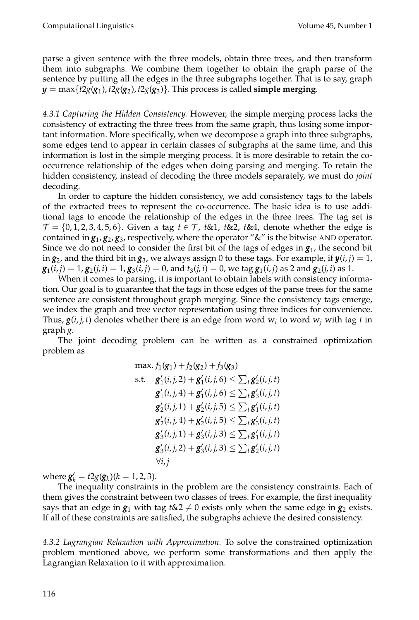parse a given sentence with the three models, obtain three trees, and then transform them into subgraphs. We combine them together to obtain the graph parse of the sentence by putting all the edges in the three subgraphs together. That is to say, graph  $\bm{y} = \max\{t2g(\bm{g}_1), t2g(\bm{g}_2), t2g(\bm{g}_3)\}.$  This process is called **simple merging**.

*4.3.1 Capturing the Hidden Consistency.* However, the simple merging process lacks the consistency of extracting the three trees from the same graph, thus losing some important information. More specifically, when we decompose a graph into three subgraphs, some edges tend to appear in certain classes of subgraphs at the same time, and this information is lost in the simple merging process. It is more desirable to retain the cooccurrence relationship of the edges when doing parsing and merging. To retain the hidden consistency, instead of decoding the three models separately, we must do *joint* decoding.

In order to capture the hidden consistency, we add consistency tags to the labels of the extracted trees to represent the co-occurrence. The basic idea is to use additional tags to encode the relationship of the edges in the three trees. The tag set is  $\mathcal{T} = \{0, 1, 2, 3, 4, 5, 6\}$ . Given a tag  $t \in \mathcal{T}$ ,  $t \& 1$ ,  $t \& 2$ ,  $t \& 4$ , denote whether the edge is contained in  $g_1$ ,  $g_2$ ,  $g_3$ , respectively, where the operator "&" is the bitwise AND operator. Since we do not need to consider the first bit of the tags of edges in  $g_1$ , the second bit in  $g_2$ , and the third bit in  $g_3$ , we always assign 0 to these tags. For example, if  $y(i,j) = 1$ ,  $\bm{g}_1(i,j)=1$ ,  $\bm{g}_2(j,i)=1$ ,  $\bm{g}_3(i,j)=0$ , and  $t_3(j,i)=0$ , we tag  $\bm{g}_1(i,j)$  as 2 and  $\bm{g}_2(j,i)$  as  $1$ .

When it comes to parsing, it is important to obtain labels with consistency information. Our goal is to guarantee that the tags in those edges of the parse trees for the same sentence are consistent throughout graph merging. Since the consistency tags emerge, we index the graph and tree vector representation using three indices for convenience. Thus,  $g(i,j,t)$  denotes whether there is an edge from word  $w_i$  to word  $w_j$  with tag  $t$  in graph *g*.

The joint decoding problem can be written as a constrained optimization problem as

$$
\max. f_1(g_1) + f_2(g_2) + f_3(g_3) \ns.t. \quad g'_1(i,j,2) + g'_1(i,j,6) \le \sum_t g'_2(i,j,t) \ng'_1(i,j,4) + g'_1(i,j,6) \le \sum_t g'_3(i,j,t) \ng'_2(i,j,1) + g'_2(i,j,5) \le \sum_t g'_1(i,j,t) \ng'_2(i,j,4) + g'_2(i,j,5) \le \sum_t g'_3(i,j,t) \ng'_3(i,j,1) + g'_3(i,j,3) \le \sum_t g'_1(i,j,t) \ng'_3(i,j,2) + g'_3(i,j,3) \le \sum_t g'_2(i,j,t) \n\forall i,j
$$

where  $g'_k = t2g(g_k)(k = 1, 2, 3)$ .

The inequality constraints in the problem are the consistency constraints. Each of them gives the constraint between two classes of trees. For example, the first inequality says that an edge in  $g_1$  with tag  $t\&2 \neq 0$  exists only when the same edge in  $g_2$  exists. If all of these constraints are satisfied, the subgraphs achieve the desired consistency.

*4.3.2 Lagrangian Relaxation with Approximation.* To solve the constrained optimization problem mentioned above, we perform some transformations and then apply the Lagrangian Relaxation to it with approximation.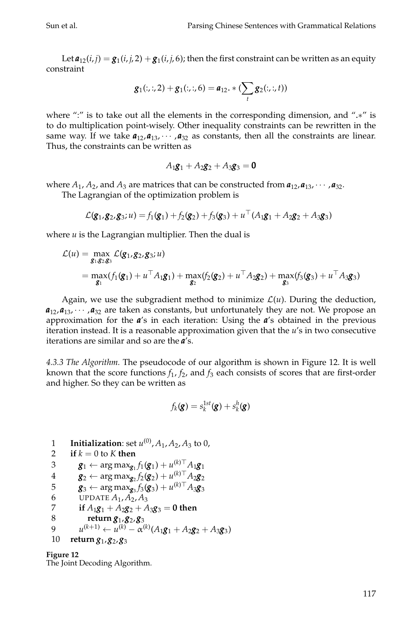Let  $a_{12}(i,j) = g_1(i,j,2) + g_1(i,j,6)$ ; then the first constraint can be written as an equity constraint

$$
g_1(:,:)2 + g_1(:,:)6 = a_{12}.*(\sum_{t} g_2(:,:), t))
$$

where ":" is to take out all the elements in the corresponding dimension, and ".∗" is to do multiplication point-wisely. Other inequality constraints can be rewritten in the same way. If we take  $a_{12}, a_{13}, \cdots, a_{32}$  as constants, then all the constraints are linear. Thus, the constraints can be written as

$$
A_1g_1 + A_2g_2 + A_3g_3 = 0
$$

where  $A_1$ ,  $A_2$ , and  $A_3$  are matrices that can be constructed from  $a_{12}$ ,  $a_{13}$ ,  $\cdots$  ,  $a_{32}$ .

The Lagrangian of the optimization problem is

$$
\mathcal{L}(\mathbf{g}_1, \mathbf{g}_2, \mathbf{g}_3; u) = f_1(\mathbf{g}_1) + f_2(\mathbf{g}_2) + f_3(\mathbf{g}_3) + u^\top (A_1 \mathbf{g}_1 + A_2 \mathbf{g}_2 + A_3 \mathbf{g}_3)
$$

where *u* is the Lagrangian multiplier. Then the dual is

$$
\mathcal{L}(u) = \max_{\mathbf{g}_1, \mathbf{g}_2, \mathbf{g}_3} \mathcal{L}(\mathbf{g}_1, \mathbf{g}_2, \mathbf{g}_3; u) \n= \max_{\mathbf{g}_1} (f_1(\mathbf{g}_1) + u^\top A_1 \mathbf{g}_1) + \max_{\mathbf{g}_2} (f_2(\mathbf{g}_2) + u^\top A_2 \mathbf{g}_2) + \max_{\mathbf{g}_3} (f_3(\mathbf{g}_3) + u^\top A_3 \mathbf{g}_3)
$$

Again, we use the subgradient method to minimize  $\mathcal{L}(u)$ . During the deduction,  $a_{12}, a_{13}, \cdots, a_{32}$  are taken as constants, but unfortunately they are not. We propose an approximation for the *a*'s in each iteration: Using the *a*'s obtained in the previous iteration instead. It is a reasonable approximation given that the *u*'s in two consecutive iterations are similar and so are the *a*'s.

*4.3.3 The Algorithm.* The pseudocode of our algorithm is shown in Figure [12.](#page-22-0) It is well known that the score functions  $f_1$ ,  $f_2$ , and  $f_3$  each consists of scores that are first-order and higher. So they can be written as

$$
f_k(\mathbf{g}) = s_k^{1st}(\mathbf{g}) + s_k^h(\mathbf{g})
$$

 Initialization: set  $u^{(0)}$ ,  $A_1$ ,  $A_2$ ,  $A_3$  to 0, **if**  $k = 0$  to  $K$  **then**  $g_1 \leftarrow \arg \max_{g_1} f_1(g_1) + u_{n-1}^{(k)} \mathbb{I} A_1 g_1$  $g_2 \leftarrow \arg \max_{g_2} f_2(g_2) + u_{m}^{(k)} \leftarrow A_2 g_2$  $g_3 \leftarrow \arg \max_{g_3} f_3(g_3) + u^{(k)\top} A_3 g_3$ 6 UPDATE  $A_1, A_2, A_3$ **if**  $A_1g_1 + A_2g_2 + A_3g_3 = 0$  then<br>8 **return**  $g_1, g_2, g_3$  **return** *g*<sup>1</sup> ,*g*<sup>2</sup> ,*g*<sup>3</sup>  $u^{(k+1)} \leftarrow u^{(k)} - \alpha^{(k)} (A_1 g_1 + A_2 g_2 + A_3 g_3)$ **return** *g*<sup>1</sup> ,*g*<sup>2</sup> ,*g*<sup>3</sup>

<span id="page-22-0"></span>**Figure 12** The Joint Decoding Algorithm.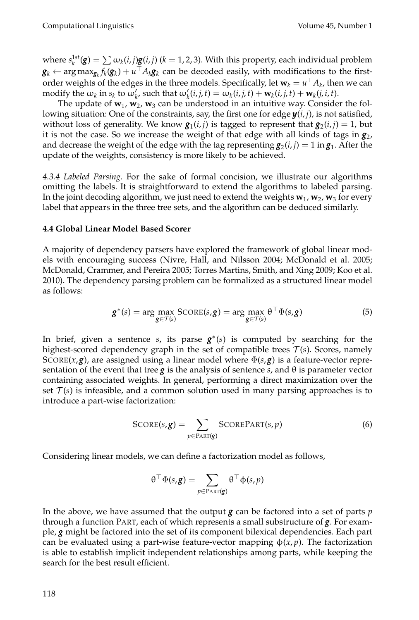where  $s_k^{1st}(\mathbf{g}) = \sum \omega_k(i,j) \mathbf{g}(i,j)$  ( $k=1,2,3$ ). With this property, each individual problem  $\bm{g}_k \gets \argmax_{\bm{g}_k} f_k(\bm{g}_k) + u^\top A_k \bm{g}_k$  can be decoded easily, with modifications to the firstorder weights of the edges in the three models. Specifically, let  $\mathbf{w}_k = u^\top A_k$ , then we can modify the  $\omega_k$  in  $s_k$  to  $\omega'_k$ , such that  $\omega'_k(i,j,t) = \omega_k(i,j,t) + \mathbf{w}_k(i,j,t) + \mathbf{w}_k(j,i,t)$ .

The update of  $w_1$ ,  $w_2$ ,  $w_3$  can be understood in an intuitive way. Consider the following situation: One of the constraints, say, the first one for edge *y*(*i*, *j*), is not satisfied, without loss of generality. We know  $\mathbf{g}_1(i,j)$  is tagged to represent that  $\mathbf{g}_2(i,j)=1$ , but it is not the case. So we increase the weight of that edge with all kinds of tags in  $g_2$ , and decrease the weight of the edge with the tag representing  $\bm{g}_2(i,j)=1$  in  $\bm{g}_1$ . After the update of the weights, consistency is more likely to be achieved.

*4.3.4 Labeled Parsing.* For the sake of formal concision, we illustrate our algorithms omitting the labels. It is straightforward to extend the algorithms to labeled parsing. In the joint decoding algorithm, we just need to extend the weights  $\mathbf{w}_1$ ,  $\mathbf{w}_2$ ,  $\mathbf{w}_3$  for every label that appears in the three tree sets, and the algorithm can be deduced similarly.

#### **4.4 Global Linear Model Based Scorer**

A majority of dependency parsers have explored the framework of global linear models with encouraging success [\(Nivre, Hall, and Nilsson 2004; McDonald et al. 2005;](#page-0-0) [McDonald, Crammer, and Pereira 2005; Torres Martins, Smith, and Xing 2009; Koo et al.](#page-0-0) [2010\)](#page-0-0). The dependency parsing problem can be formalized as a structured linear model as follows:

<span id="page-23-0"></span>
$$
\mathbf{g}^*(s) = \arg\max_{\mathbf{g} \in \mathcal{T}(s)} \text{SCORE}(s, \mathbf{g}) = \arg\max_{\mathbf{g} \in \mathcal{T}(s)} \theta^\top \Phi(s, \mathbf{g}) \tag{5}
$$

In brief, given a sentence *s*, its parse *g* ∗ (*s*) is computed by searching for the highest-scored dependency graph in the set of compatible trees  $\mathcal{T}(s)$ . Scores, namely SCORE( $x, g$ ), are assigned using a linear model where  $\Phi(s, g)$  is a feature-vector representation of the event that tree *g* is the analysis of sentence *s*, and θ is parameter vector containing associated weights. In general, performing a direct maximization over the set  $T(s)$  is infeasible, and a common solution used in many parsing approaches is to introduce a part-wise factorization:

$$
SCORE(s, g) = \sum_{p \in \text{PART}(g)} SCOREPART(s, p)
$$
 (6)

Considering linear models, we can define a factorization model as follows,

$$
\theta^{\top} \Phi(s, \mathbf{g}) = \sum_{p \in \text{PART}(\mathbf{g})} \theta^{\top} \phi(s, p)
$$

In the above, we have assumed that the output *g* can be factored into a set of parts *p* through a function PART, each of which represents a small substructure of *g*. For example, *g* might be factored into the set of its component bilexical dependencies. Each part can be evaluated using a part-wise feature-vector mapping  $\phi(x, p)$ . The factorization is able to establish implicit independent relationships among parts, while keeping the search for the best result efficient.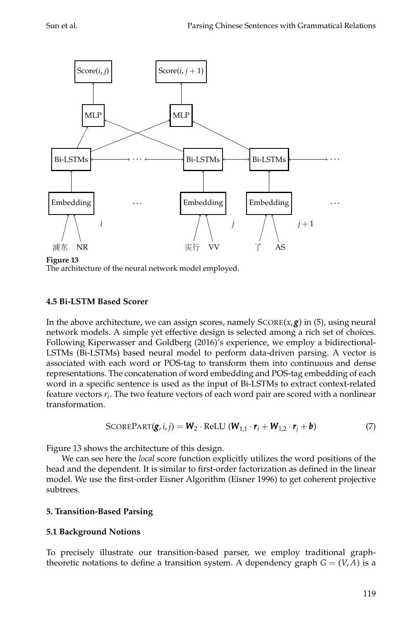

**Figure 13**

<span id="page-24-0"></span>The architecture of the neural network model employed.

## **4.5 Bi-LSTM Based Scorer**

In the above architecture, we can assign scores, namely SCORE(*x*,*g*) in [\(5\)](#page-23-0), using neural network models. A simple yet effective design is selected among a rich set of choices. Following [Kiperwasser and Goldberg \(2016\)](#page-0-0)'s experience, we employ a bidirectional-LSTMs (Bi-LSTMs) based neural model to perform data-driven parsing. A vector is associated with each word or POS-tag to transform them into continuous and dense representations. The concatenation of word embedding and POS-tag embedding of each word in a specific sentence is used as the input of Bi-LSTMs to extract context-related feature vectors *r<sup>i</sup>* . The two feature vectors of each word pair are scored with a nonlinear transformation.

$$
SCOREPART(g, i, j) = W_2 \cdot ReLU (W_{1,1} \cdot r_i + W_{1,2} \cdot r_j + b)
$$
 (7)

Figure [13](#page-24-0) shows the architecture of this design.

We can see here the *local* score function explicitly utilizes the word positions of the head and the dependent. It is similar to first-order factorization as defined in the linear model. We use the first-order Eisner Algorithm [\(Eisner 1996\)](#page-0-0) to get coherent projective subtrees.

## **5. Transition-Based Parsing**

## **5.1 Background Notions**

To precisely illustrate our transition-based parser, we employ traditional graphtheoretic notations to define a transition system. A dependency graph  $G = (V, A)$  is a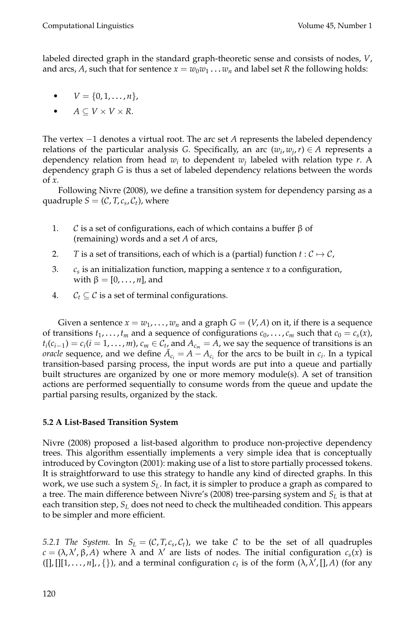labeled directed graph in the standard graph-theoretic sense and consists of nodes, *V*, and arcs, A, such that for sentence  $x = w_0w_1 \ldots w_n$  and label set R the following holds:

- $V = \{0, 1, \ldots, n\},\$
- $A \subseteq V \times V \times R$ .

The vertex −1 denotes a virtual root. The arc set *A* represents the labeled dependency relations of the particular analysis *G*. Specifically, an arc  $(w_i, w_j, r) \in A$  represents a dependency relation from head *w<sup>i</sup>* to dependent *w<sup>j</sup>* labeled with relation type *r*. A dependency graph *G* is thus a set of labeled dependency relations between the words of *x*.

Following [Nivre \(2008\)](#page-0-0), we define a transition system for dependency parsing as a quadruple  $S = (\mathcal{C}, T, c_s, C_t)$ , where

- 1. C is a set of configurations, each of which contains a buffer β of (remaining) words and a set *A* of arcs,
- 2. *T* is a set of transitions, each of which is a (partial) function  $t : C \mapsto C$ ,
- 3. *c<sup>s</sup>* is an initialization function, mapping a sentence *x* to a configuration, with  $β = [0, \ldots, n]$ , and
- 4.  $C_t \subseteq \mathcal{C}$  is a set of terminal configurations.

Given a sentence  $x = w_1, \ldots, w_n$  and a graph  $G = (V, A)$  on it, if there is a sequence of transitions  $t_1, \ldots, t_m$  and a sequence of configurations  $c_0, \ldots, c_m$  such that  $c_0 = c_s(x)$ ,  $t_i(c_{i-1}) = c_i(i = 1, ..., m)$ ,  $c_m \in C_{t_1}$  and  $A_{c_m} = A$ , we say the sequence of transitions is an *oracle* sequence, and we define  $\bar{A}_{c_i} = A - A_{c_i}$  for the arcs to be built in  $c_i$ . In a typical transition-based parsing process, the input words are put into a queue and partially built structures are organized by one or more memory module(s). A set of transition actions are performed sequentially to consume words from the queue and update the partial parsing results, organized by the stack.

## **5.2 A List-Based Transition System**

[Nivre \(2008\)](#page-0-0) proposed a list-based algorithm to produce non-projective dependency trees. This algorithm essentially implements a very simple idea that is conceptually introduced by [Covington \(2001\)](#page-0-0): making use of a list to store partially processed tokens. It is straightforward to use this strategy to handle any kind of directed graphs. In this work, we use such a system *SL*. In fact, it is simpler to produce a graph as compared to a tree. The main difference between Nivre's [\(2008\)](#page-0-0) tree-parsing system and *S<sup>L</sup>* is that at each transition step, *S<sup>L</sup>* does not need to check the multiheaded condition. This appears to be simpler and more efficient.

*5.2.1 The System.* In  $S_L = (\mathcal{C}, T, c_s, C_t)$ , we take  $\mathcal{C}$  to be the set of all quadruples  $c = (\lambda, \lambda', \beta, A)$  where  $\lambda$  and  $\lambda'$  are lists of nodes. The initial configuration  $c_s(x)$  is  $([], [[1, \ldots, n], , \{\})$ , and a terminal configuration  $c_t$  is of the form  $(\lambda, \lambda', [[, A), (for any$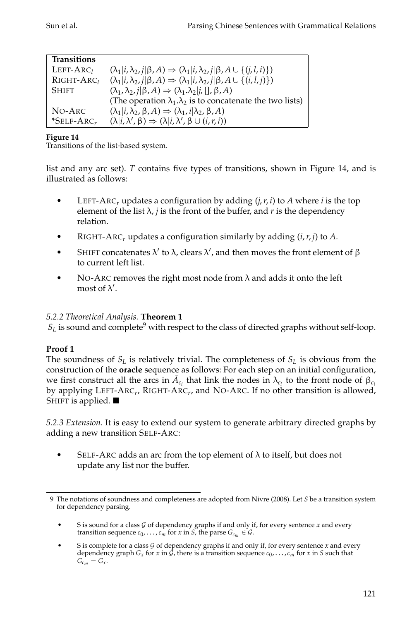| <b>Transitions</b>        |                                                                                                            |
|---------------------------|------------------------------------------------------------------------------------------------------------|
| $LEFT-ARC1$               | $(\lambda_1 i, \lambda_2, i \beta, A) \Rightarrow (\lambda_1 i, \lambda_2, i \beta, A \cup \{(j, l, i)\})$ |
| RIGHT-ARC <sub>1</sub>    | $(\lambda_1 i, \lambda_2, j \beta, A) \Rightarrow (\lambda_1 i, \lambda_2, j \beta, A \cup \{(i, l, j)\})$ |
| <b>SHIFT</b>              | $(\lambda_1, \lambda_2, j   \beta, A) \Rightarrow (\lambda_1, \lambda_2   j, [], \beta, A)$                |
|                           | (The operation $\lambda_1 \cdot \lambda_2$ is to concatenate the two lists)                                |
| NO-ARC                    | $(\lambda_1 i, \lambda_2, \beta, A) \Rightarrow (\lambda_1, i \lambda_2, \beta, A)$                        |
| $*$ SELF-ARC <sub>r</sub> | $(\lambda i, \lambda', \beta) \Rightarrow (\lambda i, \lambda', \beta \cup (i, r, i))$                     |

<span id="page-26-0"></span>Transitions of the list-based system.

list and any arc set). *T* contains five types of transitions, shown in Figure [14,](#page-26-0) and is illustrated as follows:

- LEFT-ARC<sub>r</sub> updates a configuration by adding  $(i, r, i)$  to A where *i* is the top element of the list  $\lambda$ , *j* is the front of the buffer, and *r* is the dependency relation.
- RIGHT-ARC*<sup>r</sup>* updates a configuration similarly by adding (*i*,*r*, *j*) to *A*.
- SHIFT concatenates  $\lambda'$  to  $\lambda$ , clears  $\lambda'$ , and then moves the front element of  $\beta$ to current left list.
- NO-ARC removes the right most node from  $\lambda$  and adds it onto the left most of  $\lambda'$ .

## *5.2.2 Theoretical Analysis.* **Theorem 1**

 $S_L$  is sound and complete<sup>[9](#page-26-1)</sup> with respect to the class of directed graphs without self-loop.

## **Proof 1**

The soundness of *S<sup>L</sup>* is relatively trivial. The completeness of *S<sup>L</sup>* is obvious from the construction of the **oracle** sequence as follows: For each step on an initial configuration, we first construct all the arcs in  $\bar{A}_{c_i}$  that link the nodes in  $\lambda_{c_i}$  to the front node of  $\beta_{c_i}$ by applying LEFT-ARC<sub>r</sub>, RIGHT-ARC<sub>r</sub>, and NO-ARC. If no other transition is allowed*,* SHIFT is applied.  $\blacksquare$ 

*5.2.3 Extension.* It is easy to extend our system to generate arbitrary directed graphs by adding a new transition SELF-ARC:

SELF-ARC adds an arc from the top element of  $\lambda$  to itself, but does not update any list nor the buffer.

<span id="page-26-1"></span><sup>9</sup> The notations of soundness and completeness are adopted from [Nivre \(2008\)](#page-0-0). Let *S* be a transition system for dependency parsing.

S is sound for a class  $G$  of dependency graphs if and only if, for every sentence  $x$  and every transition sequence  $c_0$ , ...,  $c_m$  for  $x$  in  $S$ , the parse  $G_{c_m} \in \mathcal{G}$ .

S is complete for a class  $G$  of dependency graphs if and only if, for every sentence  $x$  and every dependency graph  $G_x$  for *x* in  $\hat{G}$ , there is a transition sequence  $c_0, \ldots, c_m$  for *x* in *S* such that  $G_{c_m} = G_x$ .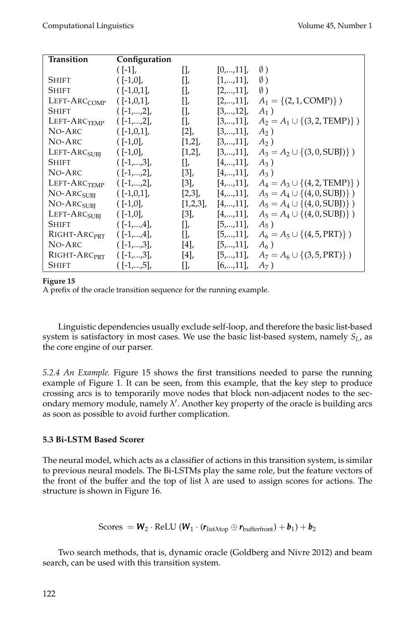| Transition               | Configuration |                |               |                                            |
|--------------------------|---------------|----------------|---------------|--------------------------------------------|
|                          | $([-1],$      | $\prod_{\ell}$ | $[0,,11]$ ,   | $\emptyset$ )                              |
| Shift                    | $([-1,0],$    | $\prod$        | $[1,,11]$ ,   | $\emptyset$ )                              |
| <b>SHIFT</b>             | $([-1,0,1],$  | $\prod$        | $[2,,11]$ ,   | $\emptyset$ )                              |
| LEFT-ARC <sub>COMP</sub> | $([-1,0,1],$  | $\prod$        | $[2,,11]$ ,   | $A_1 = \{(2, 1, COMP)\}\)$                 |
| <b>SHIFT</b>             | $([-1,,2],$   | $\prod$        | [3, , 12]     | $A_1$ )                                    |
| LEFT-ARC <sub>TEMP</sub> | $([-1,,2],$   | $\prod$        | $[3,,11]$ ,   | $A_2 = A_1 \cup \{(3, 2, \text{TEMP})\}\)$ |
| NO-ARC                   | $([-1,0,1],$  | [2]            | $[3,,11]$ ,   | $A_2$ )                                    |
| NO-ARC                   | $([-1,0],$    | $[1,2]$ ,      | [3, , 11]     | $A_2$ )                                    |
| LEFT-ARC <sub>SUBI</sub> | $([-1,0],$    | $[1,2]$ ,      | $[3,,11]$ ,   | $A_3 = A_2 \cup \{(3, 0, SUBJ)\}\$         |
| Shift                    | $([-1,,3],$   | $\prod$        | [4,,11]       | $A_3$ )                                    |
| NO-ARC                   | $([-1,,2],$   | [3]            | [4,,11]       | $A_3$ )                                    |
| LEFT-ARC <sub>TEMP</sub> | $([-1,,2],$   | $[3]$ ,        | $[4, , 11]$ , | $A_4 = A_3 \cup \{(4, 2, \text{TEMP})\}\)$ |
| NO-ARC <sub>SUBI</sub>   | $([-1,0,1],$  | $[2,3]$ ,      | $[4,,11]$ ,   | $A_5 = A_4 \cup \{(4, 0, \text{SUBJ})\}\)$ |
| NO-ARC <sub>SUBI</sub>   | $([-1,0],$    | $[1,2,3]$ ,    | $[4,,11]$ ,   | $A_5 = A_4 \cup \{(4, 0, SUBJ)\}\$         |
| LEFT-ARC <sub>SUBI</sub> | $([-1,0],$    | [3]            | $[4,,11]$ ,   | $A_5 = A_4 \cup \{(4, 0, \text{SUBJ})\}\)$ |
| <b>SHIFT</b>             | $([-1,,4],$   | П,             | [5, , 11]     | $A_5$ )                                    |
| RIGHT-ARC <sub>PRT</sub> | $([-1,,4],$   | $\prod$        | [5, , 11]     | $A_6 = A_5 \cup \{(4, 5, PRT)\}\$          |
| NO-ARC                   | $([-1,,3],$   | [4]            | [5, , 11]     | $A_6$ )                                    |
| RIGHT-ARC <sub>PRT</sub> | $([-1,,3],$   | [4]            | $[5,,11]$ ,   | $A_7 = A_6 \cup \{(3, 5, PRT)\}\)$         |
| <b>SHIFT</b>             | $([-1,,5],$   | $\prod$        | [6, , 11]     | $A_7$ )                                    |

<span id="page-27-0"></span>A prefix of the oracle transition sequence for the running example.

Linguistic dependencies usually exclude self-loop, and therefore the basic list-based system is satisfactory in most cases. We use the basic list-based system, namely *SL*, as the core engine of our parser.

*5.2.4 An Example.* Figure [15](#page-27-0) shows the first transitions needed to parse the running example of Figure [1.](#page-2-0) It can be seen, from this example, that the key step to produce crossing arcs is to temporarily move nodes that block non-adjacent nodes to the secondary memory module, namely λ 0 . Another key property of the oracle is building arcs as soon as possible to avoid further complication.

## **5.3 Bi-LSTM Based Scorer**

The neural model, which acts as a classifier of actions in this transition system, is similar to previous neural models. The Bi-LSTMs play the same role, but the feature vectors of the front of the buffer and the top of list  $\lambda$  are used to assign scores for actions. The structure is shown in Figure [16.](#page-28-0)

$$
Scores = W_2 \cdot ReLU (W_1 \cdot (r_{list\lambda top} \oplus r_{bufferfront}) + b_1) + b_2
$$

Two search methods, that is, dynamic oracle [\(Goldberg and Nivre 2012\)](#page-0-0) and beam search, can be used with this transition system.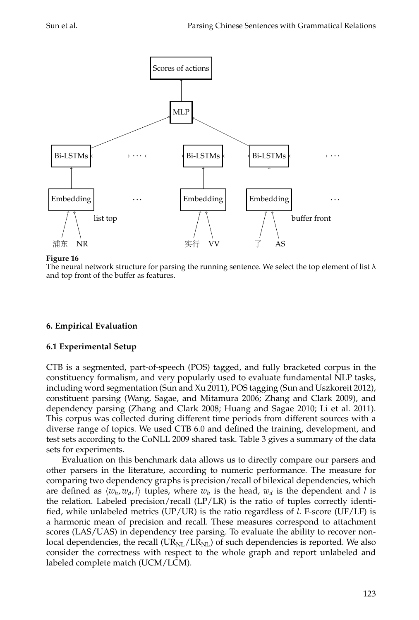

<span id="page-28-0"></span>The neural network structure for parsing the running sentence. We select the top element of list  $\lambda$ and top front of the buffer as features.

## **6. Empirical Evaluation**

#### **6.1 Experimental Setup**

CTB is a segmented, part-of-speech (POS) tagged, and fully bracketed corpus in the constituency formalism, and very popularly used to evaluate fundamental NLP tasks, including word segmentation [\(Sun and Xu 2011\)](#page-0-0), POS tagging [\(Sun and Uszkoreit 2012\)](#page-0-0), constituent parsing [\(Wang, Sagae, and Mitamura 2006; Zhang and Clark 2009\)](#page-0-0), and dependency parsing [\(Zhang and Clark 2008; Huang and Sagae 2010; Li et al. 2011\)](#page-0-0). This corpus was collected during different time periods from different sources with a diverse range of topics. We used CTB 6.0 and defined the training, development, and test sets according to the CoNLL 2009 shared task. Table [3](#page-29-0) gives a summary of the data sets for experiments.

Evaluation on this benchmark data allows us to directly compare our parsers and other parsers in the literature, according to numeric performance. The measure for comparing two dependency graphs is precision/recall of bilexical dependencies, which are defined as  $\langle w_h, w_d, l \rangle$  tuples, where  $w_h$  is the head,  $w_d$  is the dependent and *l* is the relation. Labeled precision/recall  $(LP/LR)$  is the ratio of tuples correctly identified, while unlabeled metrics (UP/UR) is the ratio regardless of *l*. F-score (UF/LF) is a harmonic mean of precision and recall. These measures correspond to attachment scores (LAS/UAS) in dependency tree parsing. To evaluate the ability to recover nonlocal dependencies, the recall  $(UR_{NL}/LR_{NL})$  of such dependencies is reported. We also consider the correctness with respect to the whole graph and report unlabeled and labeled complete match (UCM/LCM).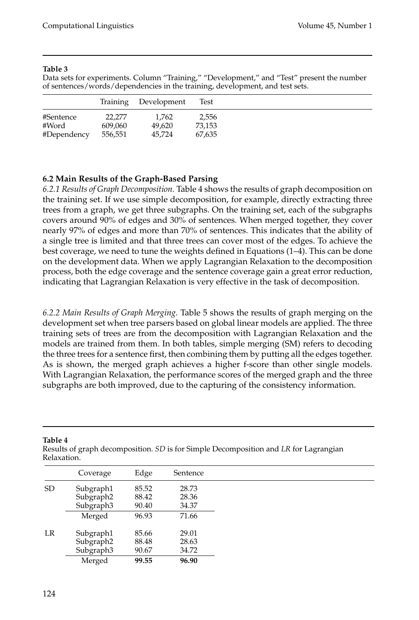<span id="page-29-0"></span>Data sets for experiments. Column "Training," "Development," and "Test" present the number of sentences/words/dependencies in the training, development, and test sets.

|             |         | Training Development | Test   |  |
|-------------|---------|----------------------|--------|--|
| #Sentence   | 22,277  | 1.762                | 2.556  |  |
| #Word       | 609,060 | 49.620               | 73.153 |  |
| #Dependency | 556,551 | 45.724               | 67.635 |  |

#### **6.2 Main Results of the Graph-Based Parsing**

*6.2.1 Results of Graph Decomposition.* Table [4](#page-29-1) shows the results of graph decomposition on the training set. If we use simple decomposition, for example, directly extracting three trees from a graph, we get three subgraphs. On the training set, each of the subgraphs covers around 90% of edges and 30% of sentences. When merged together, they cover nearly 97% of edges and more than 70% of sentences. This indicates that the ability of a single tree is limited and that three trees can cover most of the edges. To achieve the best coverage, we need to tune the weights defined in Equations (1–4). This can be done on the development data. When we apply Lagrangian Relaxation to the decomposition process, both the edge coverage and the sentence coverage gain a great error reduction, indicating that Lagrangian Relaxation is very effective in the task of decomposition.

*6.2.2 Main Results of Graph Merging.* Table [5](#page-30-0) shows the results of graph merging on the development set when tree parsers based on global linear models are applied. The three training sets of trees are from the decomposition with Lagrangian Relaxation and the models are trained from them. In both tables, simple merging (SM) refers to decoding the three trees for a sentence first, then combining them by putting all the edges together. As is shown, the merged graph achieves a higher f-score than other single models. With Lagrangian Relaxation, the performance scores of the merged graph and the three subgraphs are both improved, due to the capturing of the consistency information.

| Relaxation. |           |       |          |
|-------------|-----------|-------|----------|
|             | Coverage  | Edge  | Sentence |
| <b>SD</b>   | Subgraph1 | 85.52 | 28.73    |
|             | Subgraph2 | 88.42 | 28.36    |
|             | Subgraph3 | 90.40 | 34.37    |
|             | Merged    | 96.93 | 71.66    |
| LR          | Subgraph1 | 85.66 | 29.01    |
|             | Subgraph2 | 88.48 | 28.63    |
|             | Subgraph3 | 90.67 | 34.72    |
|             | Merged    | 99.55 | 96.90    |

**Table 4**

<span id="page-29-1"></span>Results of graph decomposition. *SD* is for Simple Decomposition and *LR* for Lagrangian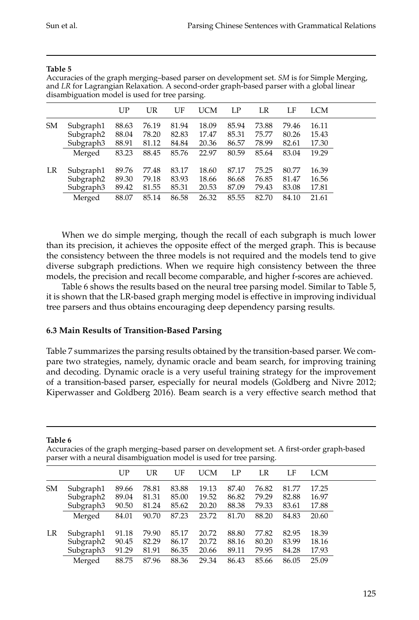|           | $\cdot$               |       |       |       | $\cdot$ |       |       |       |       |
|-----------|-----------------------|-------|-------|-------|---------|-------|-------|-------|-------|
|           |                       | UP    | UR    | UF    | UCM     | LP    | LR    | LF    | LCM   |
| <b>SM</b> | Subgraph1             | 88.63 | 76.19 | 81.94 | 18.09   | 85.94 | 73.88 | 79.46 | 16.11 |
|           | Subgraph2             | 88.04 | 78.20 | 82.83 | 17.47   | 85.31 | 75.77 | 80.26 | 15.43 |
|           | Subgraph <sub>3</sub> | 88.91 | 81.12 | 84.84 | 20.36   | 86.57 | 78.99 | 82.61 | 17.30 |
|           | Merged                | 83.23 | 88.45 | 85.76 | 22.97   | 80.59 | 85.64 | 83.04 | 19.29 |
| LR        | Subgraph1             | 89.76 | 77.48 | 83.17 | 18.60   | 87.17 | 75.25 | 80.77 | 16.39 |
|           | Subgraph2             | 89.30 | 79.18 | 83.93 | 18.66   | 86.68 | 76.85 | 81.47 | 16.56 |
|           | Subgraph3             | 89.42 | 81.55 | 85.31 | 20.53   | 87.09 | 79.43 | 83.08 | 17.81 |
|           | Merged                | 88.07 | 85.14 | 86.58 | 26.32   | 85.55 | 82.70 | 84.10 | 21.61 |

<span id="page-30-0"></span>Accuracies of the graph merging–based parser on development set. *SM* is for Simple Merging, and *LR* for Lagrangian Relaxation. A second-order graph-based parser with a global linear disambiguation model is used for tree parsing.

When we do simple merging, though the recall of each subgraph is much lower than its precision, it achieves the opposite effect of the merged graph. This is because the consistency between the three models is not required and the models tend to give diverse subgraph predictions. When we require high consistency between the three models, the precision and recall become comparable, and higher f-scores are achieved.

Table [6](#page-30-1) shows the results based on the neural tree parsing model. Similar to Table [5,](#page-30-0) it is shown that the LR-based graph merging model is effective in improving individual tree parsers and thus obtains encouraging deep dependency parsing results.

## **6.3 Main Results of Transition-Based Parsing**

Table [7](#page-31-0) summarizes the parsing results obtained by the transition-based parser. We compare two strategies, namely, dynamic oracle and beam search, for improving training and decoding. Dynamic oracle is a very useful training strategy for the improvement of a transition-based parser, especially for neural models (Goldberg and Nivre [2012;](#page-0-0) Kiperwasser and Goldberg [2016\)](#page-0-0). Beam search is a very effective search method that

#### **Table 6**

<span id="page-30-1"></span>

| Accuracies of the graph merging-based parser on development set. A first-order graph-based |  |  |
|--------------------------------------------------------------------------------------------|--|--|
| parser with a neural disambiguation model is used for tree parsing.                        |  |  |

|           |                        | $_{\rm UP}$    | UR             | UF             | UCM            | LP             | LR             | LF             | LCM            |
|-----------|------------------------|----------------|----------------|----------------|----------------|----------------|----------------|----------------|----------------|
| <b>SM</b> | Subgraph1              | 89.66          | 78.81          | 83.88          | 19.13          | 87.40          | 76.82          | 81.77          | 17.25          |
|           | Subgraph2<br>Subgraph3 | 89.04<br>90.50 | 81.31<br>81.24 | 85.00<br>85.62 | 19.52<br>20.20 | 86.82<br>88.38 | 79.29<br>79.33 | 82.88<br>83.61 | 16.97<br>17.88 |
|           | Merged                 | 84.01          | 90.70          | 87.23          | 23.72          | 81.70          | 88.20          | 84.83          | 20.60          |
| LR        | Subgraph1              | 91.18          | 79.90          | 85.17          | 20.72          | 88.80          | 77.82          | 82.95          | 18.39          |
|           | Subgraph2<br>Subgraph3 | 90.45<br>91.29 | 82.29<br>81.91 | 86.17<br>86.35 | 20.72<br>20.66 | 88.16<br>89.11 | 80.20<br>79.95 | 83.99<br>84.28 | 18.16<br>17.93 |
|           | Merged                 | 88.75          | 87.96          | 88.36          | 29.34          | 86.43          | 85.66          | 86.05          | 25.09          |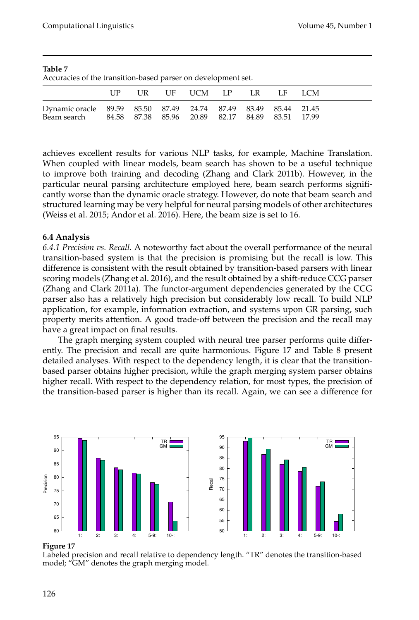<span id="page-31-0"></span>

| Accuracies of the transition-based parser on development set.  |       |  |                 |  |        |  |
|----------------------------------------------------------------|-------|--|-----------------|--|--------|--|
|                                                                | T IP. |  | UR UF UCM LP LR |  | LE LCM |  |
| Dynamic oracle 89.59 85.50 87.49 24.74 87.49 83.49 85.44 21.45 |       |  |                 |  |        |  |

Beam search 84.58 87.38 85.96 20.89 82.17 84.89 83.51 17.99

| Table 7                                                       |  |  |  |
|---------------------------------------------------------------|--|--|--|
| Accuracies of the transition-based parser on development set. |  |  |  |

achieves excellent results for various NLP tasks, for example, Machine Translation. When coupled with linear models, beam search has shown to be a useful technique to improve both training and decoding [\(Zhang and Clark 2011b\)](#page-0-0). However, in the particular neural parsing architecture employed here, beam search performs significantly worse than the dynamic oracle strategy. However, do note that beam search and structured learning may be very helpful for neural parsing models of other architectures [\(Weiss et al. 2015; Andor et al. 2016\)](#page-0-0). Here, the beam size is set to 16.

## **6.4 Analysis**

*6.4.1 Precision vs. Recall.* A noteworthy fact about the overall performance of the neural transition-based system is that the precision is promising but the recall is low. This difference is consistent with the result obtained by transition-based parsers with linear scoring models [\(Zhang et al. 2016\)](#page-0-0), and the result obtained by a shift-reduce CCG parser [\(Zhang and Clark 2011a\)](#page-0-0). The functor-argument dependencies generated by the CCG parser also has a relatively high precision but considerably low recall. To build NLP application, for example, information extraction, and systems upon GR parsing, such property merits attention. A good trade-off between the precision and the recall may have a great impact on final results.

The graph merging system coupled with neural tree parser performs quite differently. The precision and recall are quite harmonious. Figure [17](#page-31-1) and Table [8](#page-32-0) present detailed analyses. With respect to the dependency length, it is clear that the transitionbased parser obtains higher precision, while the graph merging system parser obtains higher recall. With respect to the dependency relation, for most types, the precision of the transition-based parser is higher than its recall. Again, we can see a difference for



#### **Figure 17**

<span id="page-31-1"></span>Labeled precision and recall relative to dependency length. "TR" denotes the transition-based model; "GM" denotes the graph merging model.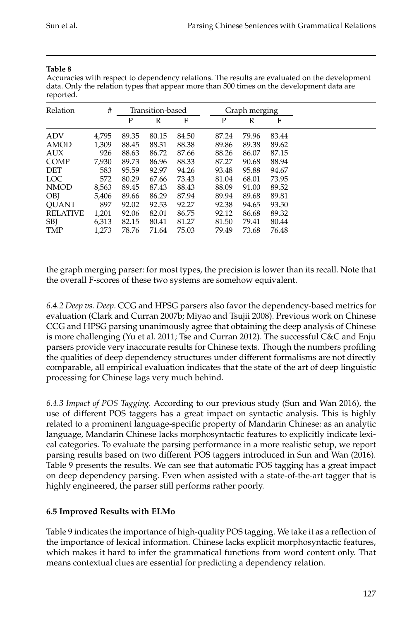<span id="page-32-0"></span>Accuracies with respect to dependency relations. The results are evaluated on the development data. Only the relation types that appear more than 500 times on the development data are reported.

| Relation        | #     |       | Transition-based |       |  | Graph merging |       |       |  |
|-----------------|-------|-------|------------------|-------|--|---------------|-------|-------|--|
|                 |       | Ρ     | $\mathbb{R}$     | F     |  | P             | R     | F     |  |
| <b>ADV</b>      | 4,795 | 89.35 | 80.15            | 84.50 |  | 87.24         | 79.96 | 83.44 |  |
| AMOD            | 1,309 | 88.45 | 88.31            | 88.38 |  | 89.86         | 89.38 | 89.62 |  |
| AUX             | 926   | 88.63 | 86.72            | 87.66 |  | 88.26         | 86.07 | 87.15 |  |
| <b>COMP</b>     | 7,930 | 89.73 | 86.96            | 88.33 |  | 87.27         | 90.68 | 88.94 |  |
| DET             | 583   | 95.59 | 92.97            | 94.26 |  | 93.48         | 95.88 | 94.67 |  |
| <b>LOC</b>      | 572   | 80.29 | 67.66            | 73.43 |  | 81.04         | 68.01 | 73.95 |  |
| <b>NMOD</b>     | 8,563 | 89.45 | 87.43            | 88.43 |  | 88.09         | 91.00 | 89.52 |  |
| <b>OBI</b>      | 5,406 | 89.66 | 86.29            | 87.94 |  | 89.94         | 89.68 | 89.81 |  |
| <b>OUANT</b>    | 897   | 92.02 | 92.53            | 92.27 |  | 92.38         | 94.65 | 93.50 |  |
| <b>RELATIVE</b> | 1,201 | 92.06 | 82.01            | 86.75 |  | 92.12         | 86.68 | 89.32 |  |
| <b>SBI</b>      | 6,313 | 82.15 | 80.41            | 81.27 |  | 81.50         | 79.41 | 80.44 |  |
| TMP             | 1,273 | 78.76 | 71.64            | 75.03 |  | 79.49         | 73.68 | 76.48 |  |

the graph merging parser: for most types, the precision is lower than its recall. Note that the overall F-scores of these two systems are somehow equivalent.

*6.4.2 Deep vs. Deep.* CCG and HPSG parsers also favor the dependency-based metrics for evaluation [\(Clark and Curran 2007b; Miyao and Tsujii 2008\)](#page-0-0). Previous work on Chinese CCG and HPSG parsing unanimously agree that obtaining the deep analysis of Chinese is more challenging [\(Yu et al. 2011; Tse and Curran 2012\)](#page-0-0). The successful C&C and Enju parsers provide very inaccurate results for Chinese texts. Though the numbers profiling the qualities of deep dependency structures under different formalisms are not directly comparable, all empirical evaluation indicates that the state of the art of deep linguistic processing for Chinese lags very much behind.

*6.4.3 Impact of POS Tagging.* According to our previous study [\(Sun and Wan 2016\)](#page-0-0), the use of different POS taggers has a great impact on syntactic analysis. This is highly related to a prominent language-specific property of Mandarin Chinese: as an analytic language, Mandarin Chinese lacks morphosyntactic features to explicitly indicate lexical categories. To evaluate the parsing performance in a more realistic setup, we report parsing results based on two different POS taggers introduced in [Sun and Wan \(2016\)](#page-0-0). Table [9](#page-33-0) presents the results. We can see that automatic POS tagging has a great impact on deep dependency parsing. Even when assisted with a state-of-the-art tagger that is highly engineered, the parser still performs rather poorly.

## **6.5 Improved Results with ELMo**

Table [9](#page-33-0) indicates the importance of high-quality POS tagging. We take it as a reflection of the importance of lexical information. Chinese lacks explicit morphosyntactic features, which makes it hard to infer the grammatical functions from word content only. That means contextual clues are essential for predicting a dependency relation.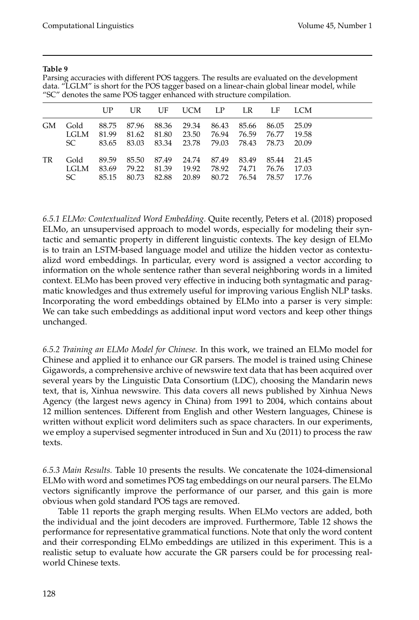<span id="page-33-0"></span>Parsing accuracies with different POS taggers. The results are evaluated on the development data. "LGLM" is short for the POS tagger based on a linear-chain global linear model, while "SC" denotes the same POS tagger enhanced with structure compilation.

|     |                     | UP                      | UR          | UF                                  | UCM LP                              |                | LR.                           | LF                      | LCM.                    |  |
|-----|---------------------|-------------------------|-------------|-------------------------------------|-------------------------------------|----------------|-------------------------------|-------------------------|-------------------------|--|
| GM. | Gold<br>LGLM        | 88.75<br>81.99          | 87.96 88.36 | 81.62 81.80                         | 29.34<br>23.50                      | 86.43<br>76.94 | 85.66<br>76.59                | 86.05<br>76.77          | 25.09<br>19.58          |  |
|     | SC.                 |                         |             |                                     | 83.65 83.03 83.34 23.78 79.03 78.43 |                |                               | 78.73                   | 20.09                   |  |
| TR  | Gold<br>LGLM<br>SC. | 89.59<br>83.69<br>85.15 | 79.22       | 85.50 87.49<br>81.39<br>80.73 82.88 | 24.74<br>19.92<br>20.89             | 87.49<br>78.92 | 83.49<br>74.71<br>80.72 76.54 | 85.44<br>76.76<br>78.57 | 21.45<br>17.03<br>17.76 |  |

*6.5.1 ELMo: Contextualized Word Embedding.* Quite recently, [Peters et al. \(2018\)](#page-0-0) proposed ELMo, an unsupervised approach to model words, especially for modeling their syntactic and semantic property in different linguistic contexts. The key design of ELMo is to train an LSTM-based language model and utilize the hidden vector as contextualizd word embeddings. In particular, every word is assigned a vector according to information on the whole sentence rather than several neighboring words in a limited context. ELMo has been proved very effective in inducing both syntagmatic and paragmatic knowledges and thus extremely useful for improving various English NLP tasks. Incorporating the word embeddings obtained by ELMo into a parser is very simple: We can take such embeddings as additional input word vectors and keep other things unchanged.

*6.5.2 Training an ELMo Model for Chinese.* In this work, we trained an ELMo model for Chinese and applied it to enhance our GR parsers. The model is trained using Chinese Gigawords, a comprehensive archive of newswire text data that has been acquired over several years by the Linguistic Data Consortium (LDC), choosing the Mandarin news text, that is, Xinhua newswire. This data covers all news published by Xinhua News Agency (the largest news agency in China) from 1991 to 2004, which contains about 12 million sentences. Different from English and other Western languages, Chinese is written without explicit word delimiters such as space characters. In our experiments, we employ a supervised segmenter introduced in [Sun and Xu \(2011\)](#page-0-0) to process the raw texts.

*6.5.3 Main Results.* Table [10](#page-34-0) presents the results. We concatenate the 1024-dimensional ELMo with word and sometimes POS tag embeddings on our neural parsers. The ELMo vectors significantly improve the performance of our parser, and this gain is more obvious when gold standard POS tags are removed.

Table [11](#page-34-1) reports the graph merging results. When ELMo vectors are added, both the individual and the joint decoders are improved. Furthermore, Table [12](#page-34-2) shows the performance for representative grammatical functions. Note that only the word content and their corresponding ELMo embeddings are utilized in this experiment. This is a realistic setup to evaluate how accurate the GR parsers could be for processing realworld Chinese texts.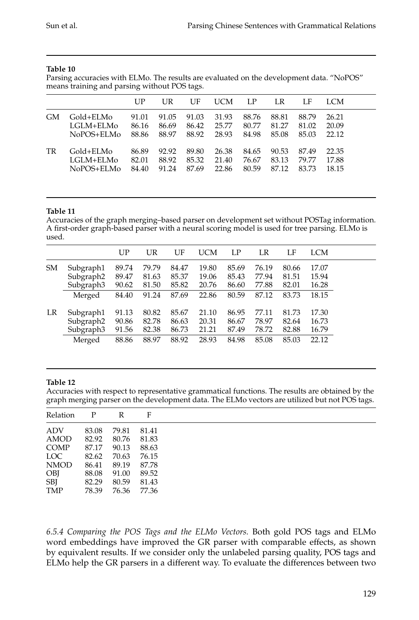<span id="page-34-0"></span>Parsing accuracies with ELMo. The results are evaluated on the development data. "NoPOS" means training and parsing without POS tags.

|    |            | UP    | UR    | UF    | UCM   | LP    | LR    | LF    | LCM   |
|----|------------|-------|-------|-------|-------|-------|-------|-------|-------|
| GМ | Gold+ELMo  | 91.01 | 91.05 | 91.03 | 31.93 | 88.76 | 88.81 | 88.79 | 26.21 |
|    | LGLM+ELM0  | 86.16 | 86.69 | 86.42 | 25.77 | 80.77 | 81.27 | 81.02 | 20.09 |
|    | NoPOS+ELMo | 88.86 | 88.97 | 88.92 | 28.93 | 84.98 | 85.08 | 85.03 | 22.12 |
| TR | Gold+ELMo  | 86.89 | 92.92 | 89.80 | 26.38 | 84.65 | 90.53 | 87.49 | 22.35 |
|    | LGLM+ELM0  | 82.01 | 88.92 | 85.32 | 21.40 | 76.67 | 83.13 | 79.77 | 17.88 |
|    | NoPOS+ELMo | 84.40 | 91.24 | 87.69 | 22.86 | 80.59 | 87.12 | 83.73 | 18.15 |

#### **Table 11**

<span id="page-34-1"></span>Accuracies of the graph merging–based parser on development set without POSTag information. A first-order graph-based parser with a neural scoring model is used for tree parsing. ELMo is used.

|    |                       | UP    | UR    | UF    | UCM   | LP    | LR    | LF    | LCM   |
|----|-----------------------|-------|-------|-------|-------|-------|-------|-------|-------|
| SM | Subgraph1             | 89.74 | 79.79 | 84.47 | 19.80 | 85.69 | 76.19 | 80.66 | 17.07 |
|    | Subgraph2             | 89.47 | 81.63 | 85.37 | 19.06 | 85.43 | 77.94 | 81.51 | 15.94 |
|    | Subgraph <sub>3</sub> | 90.62 | 81.50 | 85.82 | 20.76 | 86.60 | 77.88 | 82.01 | 16.28 |
|    | Merged                | 84.40 | 91.24 | 87.69 | 22.86 | 80.59 | 87.12 | 83.73 | 18.15 |
| LR | Subgraph1             | 91.13 | 80.82 | 85.67 | 21.10 | 86.95 | 77.11 | 81.73 | 17.30 |
|    | Subgraph2             | 90.86 | 82.78 | 86.63 | 20.31 | 86.67 | 78.97 | 82.64 | 16.73 |
|    | Subgraph <sub>3</sub> | 91.56 | 82.38 | 86.73 | 21.21 | 87.49 | 78.72 | 82.88 | 16.79 |
|    | Merged                | 88.86 | 88.97 | 88.92 | 28.93 | 84.98 | 85.08 | 85.03 | 22.12 |
|    |                       |       |       |       |       |       |       |       |       |

#### **Table 12**

<span id="page-34-2"></span>Accuracies with respect to representative grammatical functions. The results are obtained by the graph merging parser on the development data. The ELMo vectors are utilized but not POS tags.

| Relation    | $\mathbf{P}$ | R     | F     |
|-------------|--------------|-------|-------|
| ADV         | 83.08        | 79.81 | 81.41 |
| AMOD        | 82.92        | 80.76 | 81.83 |
| COMP        | 87.17        | 90.13 | 88.63 |
| LOC         | 82.62        | 70.63 | 76.15 |
| <b>NMOD</b> | 86.41        | 89.19 | 87.78 |
| OBJ         | 88.08        | 91.00 | 89.52 |
| SBJ         | 82.29        | 80.59 | 81.43 |
| TMP         | 78.39        | 76.36 | 77.36 |

*6.5.4 Comparing the POS Tags and the ELMo Vectors.* Both gold POS tags and ELMo word embeddings have improved the GR parser with comparable effects, as shown by equivalent results. If we consider only the unlabeled parsing quality, POS tags and ELMo help the GR parsers in a different way. To evaluate the differences between two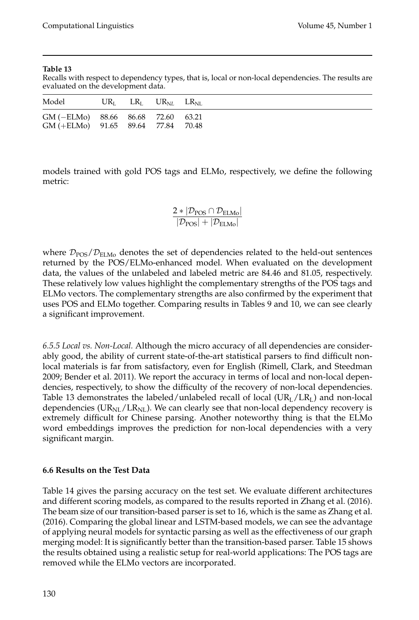<span id="page-35-0"></span>Recalls with respect to dependency types, that is, local or non-local dependencies. The results are evaluated on the development data.

| Model                                                                                  |  | $UR_{I}$ $LR_{I}$ $UR_{NI}$ $LR_{NI}$ |  |
|----------------------------------------------------------------------------------------|--|---------------------------------------|--|
| $GM$ (-ELMo) $88.66$ $86.68$ $72.60$ $63.21$<br>$GM$ (+ELMo) $91.65$ 89.64 77.84 70.48 |  |                                       |  |

models trained with gold POS tags and ELMo, respectively, we define the following metric:

$$
\frac{2*|\mathcal{D}_{POS} \cap \mathcal{D}_{ELMo}|}{|\mathcal{D}_{POS}| + |\mathcal{D}_{ELMo}|}
$$

where  $\mathcal{D}_{\text{POS}}/\mathcal{D}_{\text{ELMo}}$  denotes the set of dependencies related to the held-out sentences returned by the POS/ELMo-enhanced model. When evaluated on the development data, the values of the unlabeled and labeled metric are 84.46 and 81.05, respectively. These relatively low values highlight the complementary strengths of the POS tags and ELMo vectors. The complementary strengths are also confirmed by the experiment that uses POS and ELMo together. Comparing results in Tables [9](#page-33-0) and [10,](#page-34-0) we can see clearly a significant improvement.

*6.5.5 Local vs. Non-Local.* Although the micro accuracy of all dependencies are considerably good, the ability of current state-of-the-art statistical parsers to find difficult nonlocal materials is far from satisfactory, even for English [\(Rimell, Clark, and Steedman](#page-0-0) [2009; Bender et al. 2011\)](#page-0-0). We report the accuracy in terms of local and non-local dependencies, respectively, to show the difficulty of the recovery of non-local dependencies. Table [13](#page-35-0) demonstrates the labeled/unlabeled recall of local  $(UR_L/LR_L)$  and non-local dependencies ( $UR_{NL}/LR_{NL}$ ). We can clearly see that non-local dependency recovery is extremely difficult for Chinese parsing. Another noteworthy thing is that the ELMo word embeddings improves the prediction for non-local dependencies with a very significant margin.

## **6.6 Results on the Test Data**

Table [14](#page-36-0) gives the parsing accuracy on the test set. We evaluate different architectures and different scoring models, as compared to the results reported in [Zhang et al. \(2016\)](#page-0-0). The beam size of our transition-based parser is set to 16, which is the same as [Zhang et al.](#page-0-0) [\(2016\)](#page-0-0). Comparing the global linear and LSTM-based models, we can see the advantage of applying neural models for syntactic parsing as well as the effectiveness of our graph merging model: It is significantly better than the transition-based parser. Table [15](#page-36-1) shows the results obtained using a realistic setup for real-world applications: The POS tags are removed while the ELMo vectors are incorporated.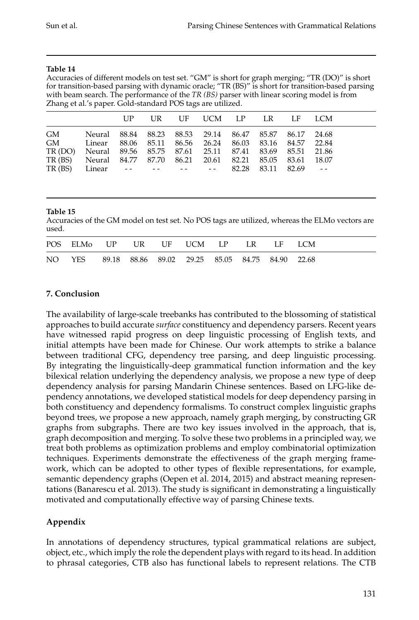<span id="page-36-0"></span>Accuracies of different models on test set. "GM" is short for graph merging; "TR (DO)" is short for transition-based parsing with dynamic oracle; "TR (BS)" is short for transition-based parsing with beam search. The performance of the *TR (BS)* parser with linear scoring model is from Zhang et al.'s paper. Gold-standard POS tags are utilized.

|                                                                |                                                        | UP. |  | UR UF UCM LP LR LF LCM |  |  |
|----------------------------------------------------------------|--------------------------------------------------------|-----|--|------------------------|--|--|
| GM                                                             | Neural 88.84 88.23 88.53 29.14 86.47 85.87 86.17 24.68 |     |  |                        |  |  |
| GM Linear 88.06 85.11 86.56 26.24 86.03 83.16 84.57 22.84      |                                                        |     |  |                        |  |  |
| TR (DO) Neural 89.56 85.75 87.61 25.11 87.41 83.69 85.51 21.86 |                                                        |     |  |                        |  |  |
| TR (BS) Neural 84.77 87.70 86.21 20.61 82.21 85.05 83.61 18.07 |                                                        |     |  |                        |  |  |
| TR (BS)                                                        | Linear -- -- -- -- -- 82.28 83.11 82.69 --             |     |  |                        |  |  |

## **Table 15**

<span id="page-36-1"></span>Accuracies of the GM model on test set. No POS tags are utilized, whereas the ELMo vectors are used.

| POS ELMO UP UR UF UCM LP LR LF LCM                     |  |  |  |  |
|--------------------------------------------------------|--|--|--|--|
| NO YES 89.18 88.86 89.02 29.25 85.05 84.75 84.90 22.68 |  |  |  |  |

## **7. Conclusion**

The availability of large-scale treebanks has contributed to the blossoming of statistical approaches to build accurate *surface* constituency and dependency parsers. Recent years have witnessed rapid progress on deep linguistic processing of English texts, and initial attempts have been made for Chinese. Our work attempts to strike a balance between traditional CFG, dependency tree parsing, and deep linguistic processing. By integrating the linguistically-deep grammatical function information and the key bilexical relation underlying the dependency analysis, we propose a new type of deep dependency analysis for parsing Mandarin Chinese sentences. Based on LFG-like dependency annotations, we developed statistical models for deep dependency parsing in both constituency and dependency formalisms. To construct complex linguistic graphs beyond trees, we propose a new approach, namely graph merging, by constructing GR graphs from subgraphs. There are two key issues involved in the approach, that is, graph decomposition and merging. To solve these two problems in a principled way, we treat both problems as optimization problems and employ combinatorial optimization techniques. Experiments demonstrate the effectiveness of the graph merging framework, which can be adopted to other types of flexible representations, for example, semantic dependency graphs [\(Oepen et al. 2014, 2015\)](#page-0-0) and abstract meaning representations [\(Banarescu et al. 2013\)](#page-0-0). The study is significant in demonstrating a linguistically motivated and computationally effective way of parsing Chinese texts.

## **Appendix**

In annotations of dependency structures, typical grammatical relations are subject, object, etc., which imply the role the dependent plays with regard to its head. In addition to phrasal categories, CTB also has functional labels to represent relations. The CTB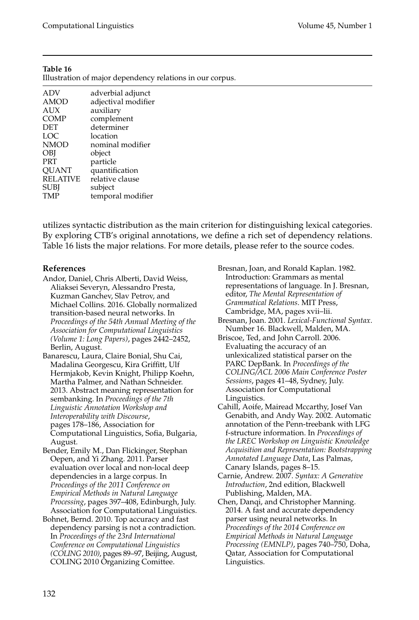<span id="page-37-0"></span>

| Illustration of major dependency relations in our corpus. |  |  |  |  |  |  |
|-----------------------------------------------------------|--|--|--|--|--|--|
| adverbial adjunct                                         |  |  |  |  |  |  |
| adjectival modifier                                       |  |  |  |  |  |  |
| auxiliary                                                 |  |  |  |  |  |  |
| complement                                                |  |  |  |  |  |  |
| determiner                                                |  |  |  |  |  |  |
| location                                                  |  |  |  |  |  |  |
| nominal modifier                                          |  |  |  |  |  |  |
| object                                                    |  |  |  |  |  |  |
| particle                                                  |  |  |  |  |  |  |
| quantification                                            |  |  |  |  |  |  |
| relative clause                                           |  |  |  |  |  |  |
| subject                                                   |  |  |  |  |  |  |
| temporal modifier                                         |  |  |  |  |  |  |
|                                                           |  |  |  |  |  |  |

utilizes syntactic distribution as the main criterion for distinguishing lexical categories. By exploring CTB's original annotations, we define a rich set of dependency relations. Table [16](#page-37-0) lists the major relations. For more details, please refer to the source codes.

#### **References**

- Andor, Daniel, Chris Alberti, David Weiss, Aliaksei Severyn, Alessandro Presta, Kuzman Ganchev, Slav Petrov, and Michael Collins. 2016. Globally normalized transition-based neural networks. In *Proceedings of the 54th Annual Meeting of the Association for Computational Linguistics (Volume 1: Long Papers)*, pages 2442–2452, Berlin, August.
- Banarescu, Laura, Claire Bonial, Shu Cai, Madalina Georgescu, Kira Griffitt, Ulf Hermjakob, Kevin Knight, Philipp Koehn, Martha Palmer, and Nathan Schneider. 2013. Abstract meaning representation for sembanking. In *Proceedings of the 7th Linguistic Annotation Workshop and Interoperability with Discourse*, pages 178–186, Association for Computational Linguistics, Sofia, Bulgaria, August.
- Bender, Emily M., Dan Flickinger, Stephan Oepen, and Yi Zhang. 2011. Parser evaluation over local and non-local deep dependencies in a large corpus. In *Proceedings of the 2011 Conference on Empirical Methods in Natural Language Processing*, pages 397–408, Edinburgh, July. Association for Computational Linguistics.
- Bohnet, Bernd. 2010. Top accuracy and fast dependency parsing is not a contradiction. In *Proceedings of the 23rd International Conference on Computational Linguistics (COLING 2010)*, pages 89–97, Beijing, August, COLING 2010 Organizing Comittee.
- Bresnan, Joan, and Ronald Kaplan. 1982. Introduction: Grammars as mental representations of language. In J. Bresnan, editor, *The Mental Representation of Grammatical Relations*. MIT Press, Cambridge, MA, pages xvii–lii.
- Bresnan, Joan. 2001. *Lexical-Functional Syntax*. Number 16. Blackwell, Malden, MA.
- Briscoe, Ted, and John Carroll. 2006. Evaluating the accuracy of an unlexicalized statistical parser on the PARC DepBank. In *Proceedings of the COLING/ACL 2006 Main Conference Poster Sessions*, pages 41–48, Sydney, July. Association for Computational Linguistics.
- Cahill, Aoife, Mairead Mccarthy, Josef Van Genabith, and Andy Way. 2002. Automatic annotation of the Penn-treebank with LFG f-structure information. In *Proceedings of the LREC Workshop on Linguistic Knowledge Acquisition and Representation: Bootstrapping Annotated Language Data*, Las Palmas, Canary Islands, pages 8–15.
- Carnie, Andrew. 2007. *Syntax: A Generative Introduction*, 2nd edition, Blackwell Publishing, Malden, MA.
- Chen, Danqi, and Christopher Manning. 2014. A fast and accurate dependency parser using neural networks. In *Proceedings of the 2014 Conference on Empirical Methods in Natural Language Processing (EMNLP)*, pages 740–750, Doha, Qatar, Association for Computational Linguistics.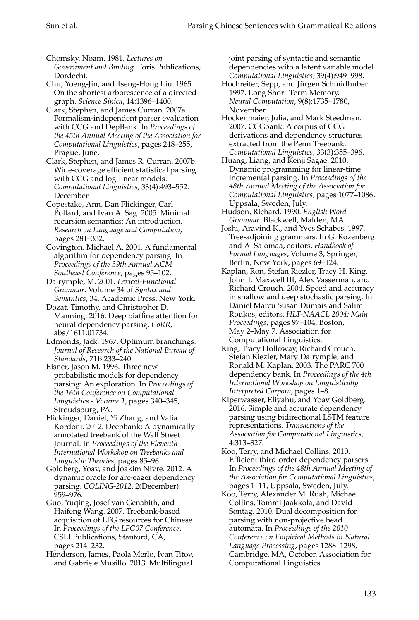Chomsky, Noam. 1981. *Lectures on Government and Binding*. Foris Publications, Dordecht.

Chu, Yoeng-Jin, and Tseng-Hong Liu. 1965. On the shortest arborescence of a directed graph. *Science Sinica*, 14:1396–1400.

Clark, Stephen, and James Curran. 2007a. Formalism-independent parser evaluation with CCG and DepBank. In *Proceedings of the 45th Annual Meeting of the Association for Computational Linguistics*, pages 248–255, Prague, June.

Clark, Stephen, and James R. Curran. 2007b. Wide-coverage efficient statistical parsing with CCG and log-linear models. *Computational Linguistics*, 33(4):493–552. December.

Copestake, Ann, Dan Flickinger, Carl Pollard, and Ivan A. Sag. 2005. Minimal recursion semantics: An introduction. *Research on Language and Computation*, pages 281–332.

Covington, Michael A. 2001. A fundamental algorithm for dependency parsing. In *Proceedings of the 39th Annual ACM Southeast Conference*, pages 95–102.

Dalrymple, M. 2001. *Lexical-Functional Grammar*. Volume 34 of *Syntax and Semantics*, 34, Academic Press, New York.

Dozat, Timothy, and Christopher D. Manning. 2016. Deep biaffine attention for neural dependency parsing. *CoRR*, abs/1611.01734.

Edmonds, Jack. 1967. Optimum branchings. *Journal of Research of the National Bureau of Standards*, 71B:233–240.

Eisner, Jason M. 1996. Three new probabilistic models for dependency parsing: An exploration. In *Proceedings of the 16th Conference on Computational Linguistics - Volume 1*, pages 340–345, Stroudsburg, PA.

Flickinger, Daniel, Yi Zhang, and Valia Kordoni. 2012. Deepbank: A dynamically annotated treebank of the Wall Street Journal. In *Proceedings of the Eleventh International Workshop on Treebanks and Linguistic Theories*, pages 85–96.

Goldberg, Yoav, and Joakim Nivre. 2012. A dynamic oracle for arc-eager dependency parsing. *COLING-2012*, 2(December): 959–976.

Guo, Yuqing, Josef van Genabith, and Haifeng Wang. 2007. Treebank-based acquisition of LFG resources for Chinese. In *Proceedings of the LFG07 Conference*, CSLI Publications, Stanford, CA, pages 214–232.

Henderson, James, Paola Merlo, Ivan Titov, and Gabriele Musillo. 2013. Multilingual

joint parsing of syntactic and semantic dependencies with a latent variable model. *Computational Linguistics*, 39(4):949–998.

Hochreiter, Sepp, and Jürgen Schmidhuber. 1997. Long Short-Term Memory. *Neural Computation*, 9(8):1735–1780, November.

Hockenmaier, Julia, and Mark Steedman. 2007. CCGbank: A corpus of CCG derivations and dependency structures extracted from the Penn Treebank. *Computational Linguistics*, 33(3):355–396.

Huang, Liang, and Kenji Sagae. 2010. Dynamic programming for linear-time incremental parsing. In *Proceedings of the 48th Annual Meeting of the Association for Computational Linguistics*, pages 1077–1086, Uppsala, Sweden, July.

Hudson, Richard. 1990. *English Word Grammar*. Blackwell, Malden, MA.

Joshi, Aravind K., and Yves Schabes. 1997. Tree-adjoining grammars. In G. Rozenberg and A. Salomaa, editors, *Handbook of Formal Languages*, Volume 3, Springer, Berlin, New York, pages 69–124.

Kaplan, Ron, Stefan Riezler, Tracy H. King, John T. Maxwell III, Alex Vasserman, and Richard Crouch. 2004. Speed and accuracy in shallow and deep stochastic parsing. In Daniel Marcu Susan Dumais and Salim Roukos, editors. *HLT-NAACL 2004: Main Proceedings*, pages 97–104, Boston, May 2–May 7. Association for Computational Linguistics.

King, Tracy Holloway, Richard Crouch, Stefan Riezler, Mary Dalrymple, and Ronald M. Kaplan. 2003. The PARC 700 dependency bank. In *Proceedings of the 4th International Workshop on Linguistically Interpreted Corpora*, pages 1–8.

Kiperwasser, Eliyahu, and Yoav Goldberg. 2016. Simple and accurate dependency parsing using bidirectional LSTM feature representations. *Transactions of the Association for Computational Linguistics*, 4:313–327.

Koo, Terry, and Michael Collins. 2010. Efficient third-order dependency parsers. In *Proceedings of the 48th Annual Meeting of the Association for Computational Linguistics*, pages 1–11, Uppsala, Sweden, July.

Koo, Terry, Alexander M. Rush, Michael Collins, Tommi Jaakkola, and David Sontag. 2010. Dual decomposition for parsing with non-projective head automata. In *Proceedings of the 2010 Conference on Empirical Methods in Natural Language Processing*, pages 1288–1298, Cambridge, MA, October. Association for Computational Linguistics.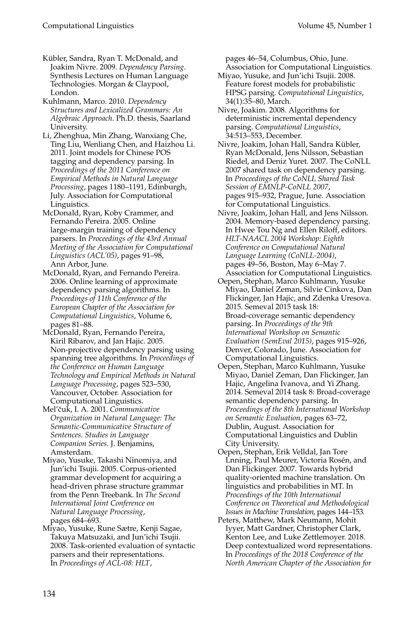- Kübler, Sandra, Ryan T. McDonald, and Joakim Nivre. 2009. *Dependency Parsing*. Synthesis Lectures on Human Language Technologies. Morgan & Claypool, London.
- Kuhlmann, Marco. 2010. *Dependency Structures and Lexicalized Grammars: An Algebraic Approach*. Ph.D. thesis, Saarland University.
- Li, Zhenghua, Min Zhang, Wanxiang Che, Ting Liu, Wenliang Chen, and Haizhou Li. 2011. Joint models for Chinese POS tagging and dependency parsing. In *Proceedings of the 2011 Conference on Empirical Methods in Natural Language Processing*, pages 1180–1191, Edinburgh, July. Association for Computational Linguistics.
- McDonald, Ryan, Koby Crammer, and Fernando Pereira. 2005. Online large-margin training of dependency parsers. In *Proceedings of the 43rd Annual Meeting of the Association for Computational Linguistics (ACL'05)*, pages 91–98, Ann Arbor, June.
- McDonald, Ryan, and Fernando Pereira. 2006. Online learning of approximate dependency parsing algorithms. In *Proceedings of 11th Conference of the European Chapter of the Association for Computational Linguistics*, Volume 6, pages 81–88.
- McDonald, Ryan, Fernando Pereira, Kiril Ribarov, and Jan Hajic. 2005. Non-projective dependency parsing using spanning tree algorithms. In *Proceedings of the Conference on Human Language Technology and Empirical Methods in Natural Language Processing*, pages 523–530, Vancouver, October. Association for Computational Linguistics.
- Mel'čuk, I. A. 2001. Communicative *Organization in Natural Language: The Semantic-Communicative Structure of Sentences*. *Studies in Language Companion Series*. J. Benjamins, Amsterdam.
- Miyao, Yusuke, Takashi Ninomiya, and Jun'ichi Tsujii. 2005. Corpus-oriented grammar development for acquiring a head-driven phrase structure grammar from the Penn Treebank. In *The Second International Joint Conference on Natural Language Processing*, pages 684–693.
- Miyao, Yusuke, Rune Sætre, Kenji Sagae, Takuya Matsuzaki, and Jun'ichi Tsujii. 2008. Task-oriented evaluation of syntactic parsers and their representations. In *Proceedings of ACL-08: HLT*,

pages 46–54, Columbus, Ohio, June. Association for Computational Linguistics.

- Miyao, Yusuke, and Jun'ichi Tsujii. 2008. Feature forest models for probabilistic HPSG parsing. *Computational Linguistics*, 34(1):35–80, March.
- Nivre, Joakim. 2008. Algorithms for deterministic incremental dependency parsing. *Computational Linguistics*, 34:513–553, December.
- Nivre, Joakim, Johan Hall, Sandra Kübler, Ryan McDonald, Jens Nilsson, Sebastian Riedel, and Deniz Yuret. 2007. The CoNLL 2007 shared task on dependency parsing. In *Proceedings of the CoNLL Shared Task Session of EMNLP-CoNLL 2007*, pages 915–932, Prague, June. Association for Computational Linguistics.
- Nivre, Joakim, Johan Hall, and Jens Nilsson. 2004. Memory-based dependency parsing. In Hwee Tou Ng and Ellen Riloff, editors. *HLT-NAACL 2004 Workshop: Eighth Conference on Computational Natural Language Learning (CoNLL-2004)*, pages 49–56, Boston, May 6–May 7.
- Association for Computational Linguistics. Oepen, Stephan, Marco Kuhlmann, Yusuke Miyao, Daniel Zeman, Silvie Cinkova, Dan Flickinger, Jan Hajic, and Zdenka Uresova. 2015. Semeval 2015 task 18: Broad-coverage semantic dependency parsing. In *Proceedings of the 9th International Workshop on Semantic Evaluation (SemEval 2015)*, pages 915–926, Denver, Colorado, June. Association for Computational Linguistics.
- Oepen, Stephan, Marco Kuhlmann, Yusuke Miyao, Daniel Zeman, Dan Flickinger, Jan Hajic, Angelina Ivanova, and Yi Zhang. 2014. Semeval 2014 task 8: Broad-coverage semantic dependency parsing. In *Proceedings of the 8th International Workshop on Semantic Evaluation*, pages 63–72, Dublin, August. Association for Computational Linguistics and Dublin City University.
- Oepen, Stephan, Erik Velldal, Jan Tore Lnning, Paul Meurer, Victoria Rosén, and Dan Flickinger. 2007. Towards hybrid quality-oriented machine translation. On linguistics and probabilities in MT. In *Proceedings of the 10th International Conference on Theoretical and Methodological Issues in Machine Translation*, pages 144–153.
- Peters, Matthew, Mark Neumann, Mohit Iyyer, Matt Gardner, Christopher Clark, Kenton Lee, and Luke Zettlemoyer. 2018. Deep contextualized word representations. In *Proceedings of the 2018 Conference of the North American Chapter of the Association for*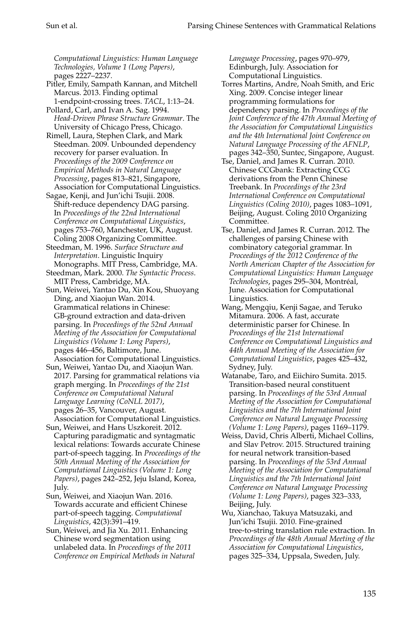*Computational Linguistics: Human Language Technologies, Volume 1 (Long Papers)*, pages 2227–2237.

Pitler, Emily, Sampath Kannan, and Mitchell Marcus. 2013. Finding optimal 1-endpoint-crossing trees. *TACL*, 1:13–24.

Pollard, Carl, and Ivan A. Sag. 1994. *Head-Driven Phrase Structure Grammar*. The University of Chicago Press, Chicago.

Rimell, Laura, Stephen Clark, and Mark Steedman. 2009. Unbounded dependency recovery for parser evaluation. In *Proceedings of the 2009 Conference on Empirical Methods in Natural Language Processing*, pages 813–821, Singapore, Association for Computational Linguistics.

Sagae, Kenji, and Jun'ichi Tsujii. 2008. Shift-reduce dependency DAG parsing. In *Proceedings of the 22nd International Conference on Computational Linguistics*, pages 753–760, Manchester, UK, August. Coling 2008 Organizing Committee.

Steedman, M. 1996. *Surface Structure and Interpretation*. Linguistic Inquiry Monographs. MIT Press, Cambridge, MA.

Steedman, Mark. 2000. *The Syntactic Process*. MIT Press, Cambridge, MA.

Sun, Weiwei, Yantao Du, Xin Kou, Shuoyang Ding, and Xiaojun Wan. 2014. Grammatical relations in Chinese: GB-ground extraction and data-driven parsing. In *Proceedings of the 52nd Annual Meeting of the Association for Computational Linguistics (Volume 1: Long Papers)*, pages 446–456, Baltimore, June. Association for Computational Linguistics.

Sun, Weiwei, Yantao Du, and Xiaojun Wan. 2017. Parsing for grammatical relations via graph merging. In *Proceedings of the 21st Conference on Computational Natural Language Learning (CoNLL 2017)*, pages 26–35, Vancouver, August. Association for Computational Linguistics.

Sun, Weiwei, and Hans Uszkoreit. 2012. Capturing paradigmatic and syntagmatic lexical relations: Towards accurate Chinese part-of-speech tagging. In *Proceedings of the 50th Annual Meeting of the Association for Computational Linguistics (Volume 1: Long Papers)*, pages 242–252, Jeju Island, Korea, July.

Sun, Weiwei, and Xiaojun Wan. 2016. Towards accurate and efficient Chinese part-of-speech tagging. *Computational Linguistics*, 42(3):391–419.

Sun, Weiwei, and Jia Xu. 2011. Enhancing Chinese word segmentation using unlabeled data. In *Proceedings of the 2011 Conference on Empirical Methods in Natural* *Language Processing*, pages 970–979, Edinburgh, July. Association for Computational Linguistics.

- Torres Martins, Andre, Noah Smith, and Eric Xing. 2009. Concise integer linear programming formulations for dependency parsing. In *Proceedings of the Joint Conference of the 47th Annual Meeting of the Association for Computational Linguistics and the 4th International Joint Conference on Natural Language Processing of the AFNLP*, pages 342–350, Suntec, Singapore, August.
- Tse, Daniel, and James R. Curran. 2010. Chinese CCGbank: Extracting CCG derivations from the Penn Chinese Treebank. In *Proceedings of the 23rd International Conference on Computational Linguistics (Coling 2010)*, pages 1083–1091, Beijing, August. Coling 2010 Organizing Committee.
- Tse, Daniel, and James R. Curran. 2012. The challenges of parsing Chinese with combinatory categorial grammar. In *Proceedings of the 2012 Conference of the North American Chapter of the Association for Computational Linguistics: Human Language Technologies*, pages 295–304, Montreal, ´ June. Association for Computational Linguistics.
- Wang, Mengqiu, Kenji Sagae, and Teruko Mitamura. 2006. A fast, accurate deterministic parser for Chinese. In *Proceedings of the 21st International Conference on Computational Linguistics and 44th Annual Meeting of the Association for Computational Linguistics*, pages 425–432, Sydney, July.
- Watanabe, Taro, and Eiichiro Sumita. 2015. Transition-based neural constituent parsing. In *Proceedings of the 53rd Annual Meeting of the Association for Computational Linguistics and the 7th International Joint Conference on Natural Language Processing (Volume 1: Long Papers)*, pages 1169–1179.
- Weiss, David, Chris Alberti, Michael Collins, and Slav Petrov. 2015. Structured training for neural network transition-based parsing. In *Proceedings of the 53rd Annual Meeting of the Association for Computational Linguistics and the 7th International Joint Conference on Natural Language Processing (Volume 1: Long Papers)*, pages 323–333, Beijing, July.
- Wu, Xianchao, Takuya Matsuzaki, and Jun'ichi Tsujii. 2010. Fine-grained tree-to-string translation rule extraction. In *Proceedings of the 48th Annual Meeting of the Association for Computational Linguistics*, pages 325–334, Uppsala, Sweden, July.